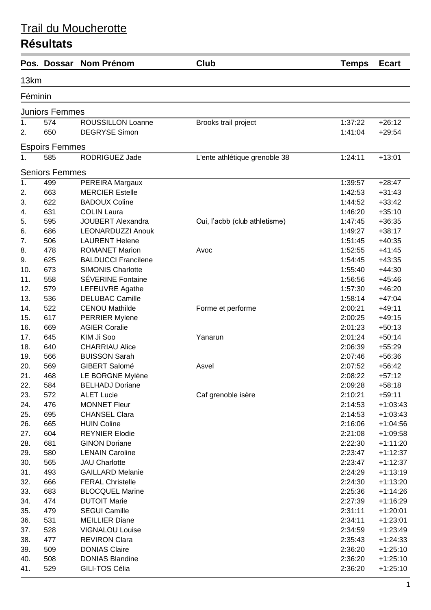|            | Pos. Dossar           | <b>Nom Prénom</b>                             | Club                          | <b>Temps</b>       | <b>Ecart</b>             |
|------------|-----------------------|-----------------------------------------------|-------------------------------|--------------------|--------------------------|
| 13km       |                       |                                               |                               |                    |                          |
| Féminin    |                       |                                               |                               |                    |                          |
|            | <b>Juniors Femmes</b> |                                               |                               |                    |                          |
| 1.         | 574                   | ROUSSILLON Loanne                             | Brooks trail project          | 1:37:22            | $+26:12$                 |
| 2.         | 650                   | <b>DEGRYSE Simon</b>                          |                               | 1:41:04            | $+29:54$                 |
|            | <b>Espoirs Femmes</b> |                                               |                               |                    |                          |
| $1_{-}$    | 585                   | RODRIGUEZ Jade                                | L'ente athlétique grenoble 38 | 1:24:11            | $+13:01$                 |
|            | <b>Seniors Femmes</b> |                                               |                               |                    |                          |
| 1.         | 499                   | PEREIRA Margaux                               |                               | 1:39:57            | $+28:47$                 |
| 2.         | 663                   | <b>MERCIER Estelle</b>                        |                               | 1:42:53            | $+31:43$                 |
| 3.         | 622                   | <b>BADOUX Coline</b>                          |                               | 1:44:52            | $+33:42$                 |
| 4.         | 631                   | <b>COLIN Laura</b>                            |                               | 1:46:20            | $+35:10$                 |
| 5.         | 595                   | <b>JOUBERT Alexandra</b>                      | Oui, l'acbb (club athletisme) | 1:47:45            | $+36:35$                 |
| 6.         | 686                   | <b>LEONARDUZZI Anouk</b>                      |                               | 1:49:27            | $+38:17$                 |
| 7.         | 506                   | <b>LAURENT Helene</b>                         |                               | 1:51:45            | $+40:35$                 |
| 8.         | 478                   | <b>ROMANET Marion</b>                         | Avoc                          | 1:52:55            | $+41:45$                 |
| 9.         | 625                   | <b>BALDUCCI Francilene</b>                    |                               | 1:54:45            | $+43:35$                 |
| 10.        | 673                   | <b>SIMONIS Charlotte</b>                      |                               | 1:55:40            | $+44:30$                 |
| 11.        | 558                   | <b>SÉVERINE Fontaine</b>                      |                               | 1:56:56            | $+45:46$                 |
| 12.        | 579                   | LEFEUVRE Agathe                               |                               | 1:57:30            | $+46:20$                 |
| 13.        | 536                   | <b>DELUBAC Camille</b>                        |                               | 1:58:14            | $+47:04$                 |
| 14.        | 522                   | <b>CENOU Mathilde</b>                         | Forme et performe             | 2:00:21            | $+49:11$                 |
| 15.        | 617                   | <b>PERRIER Mylene</b>                         |                               | 2:00:25            | $+49:15$                 |
| 16.        | 669                   | <b>AGIER Coralie</b>                          |                               | 2:01:23            | $+50:13$                 |
| 17.        | 645                   | KIM Ji Soo                                    | Yanarun                       | 2:01:24            | $+50:14$                 |
| 18.        | 640                   | <b>CHARRIAU Alice</b>                         |                               | 2:06:39            | $+55:29$                 |
| 19.        | 566                   | <b>BUISSON Sarah</b>                          |                               | 2:07:46            | $+56:36$                 |
| 20.        | 569                   | GIBERT Salomé                                 | Asvel                         | 2:07:52            | $+56:42$                 |
| 21.        | 468                   | LE BORGNE Mylène                              |                               | 2:08:22            | $+57:12$                 |
| 22.        | 584                   | <b>BELHADJ Doriane</b>                        |                               | 2:09:28            | $+58:18$                 |
| 23.        | 572                   | <b>ALET Lucie</b>                             | Caf grenoble isère            | 2:10:21            | $+59:11$                 |
| 24.        | 476                   | <b>MONNET Fleur</b>                           |                               | 2:14:53            | $+1:03:43$               |
| 25.        | 695                   | <b>CHANSEL Clara</b>                          |                               | 2:14:53            | $+1:03:43$               |
| 26.        | 665                   | <b>HUIN Coline</b>                            |                               | 2:16:06            | $+1:04:56$               |
| 27.        | 604                   | <b>REYNIER Elodie</b>                         |                               | 2:21:08            | $+1:09:58$               |
| 28.        | 681                   | <b>GINON Doriane</b>                          |                               | 2:22:30            | $+1:11:20$               |
| 29.        | 580                   | <b>LENAIN Caroline</b>                        |                               | 2:23:47            | $+1:12:37$               |
| 30.        | 565                   | <b>JAU Charlotte</b>                          |                               | 2:23:47            | $+1:12:37$               |
| 31.        | 493                   | <b>GAILLARD Melanie</b>                       |                               | 2:24:29            | $+1:13:19$               |
| 32.        | 666                   | <b>FERAL Christelle</b>                       |                               | 2:24:30            | $+1:13:20$               |
| 33.        | 683                   | <b>BLOCQUEL Marine</b><br><b>DUTOIT Marie</b> |                               | 2:25:36            | $+1:14:26$               |
| 34.        | 474                   |                                               |                               | 2:27:39            | $+1:16:29$               |
| 35.        | 479<br>531            | <b>SEGUI Camille</b><br><b>MEILLIER Diane</b> |                               | 2:31:11            | $+1:20:01$               |
| 36.<br>37. | 528                   | <b>VIGNALOU Louise</b>                        |                               | 2:34:11<br>2:34:59 | $+1:23:01$<br>$+1:23:49$ |
| 38.        | 477                   | <b>REVIRON Clara</b>                          |                               | 2:35:43            | $+1:24:33$               |
| 39.        | 509                   | <b>DONIAS Claire</b>                          |                               | 2:36:20            | $+1:25:10$               |
| 40.        | 508                   | <b>DONIAS Blandine</b>                        |                               | 2:36:20            | $+1:25:10$               |
| 41.        | 529                   | GILI-TOS Célia                                |                               | 2:36:20            | $+1:25:10$               |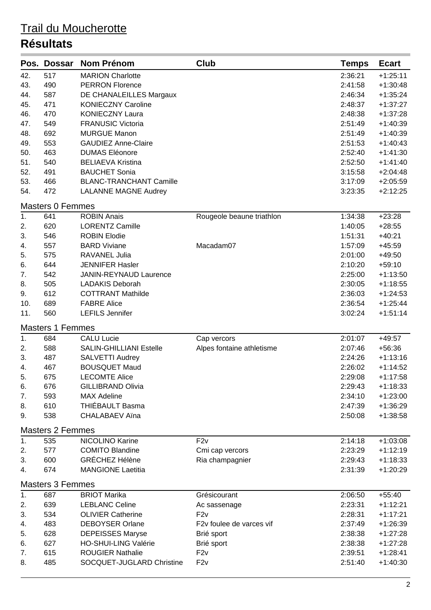|     | Pos. Dossar             | <b>Nom Prénom</b>              | <b>Club</b>               | <b>Temps</b> | <b>Ecart</b> |
|-----|-------------------------|--------------------------------|---------------------------|--------------|--------------|
| 42. | 517                     | <b>MARION Charlotte</b>        |                           | 2:36:21      | $+1:25:11$   |
| 43. | 490                     | <b>PERRON Florence</b>         |                           | 2:41:58      | $+1:30:48$   |
| 44. | 587                     | DE CHANALEILLES Margaux        |                           | 2:46:34      | $+1:35:24$   |
| 45. | 471                     | <b>KONIECZNY Caroline</b>      |                           | 2:48:37      | $+1:37:27$   |
| 46. | 470                     | <b>KONIECZNY Laura</b>         |                           | 2:48:38      | $+1:37:28$   |
| 47. | 549                     | <b>FRANUSIC Victoria</b>       |                           | 2:51:49      | $+1:40:39$   |
| 48. | 692                     | <b>MURGUE Manon</b>            |                           | 2:51:49      | $+1:40:39$   |
| 49. | 553                     | <b>GAUDIEZ Anne-Claire</b>     |                           | 2:51:53      | $+1:40:43$   |
| 50. | 463                     | <b>DUMAS Eléonore</b>          |                           | 2:52:40      | $+1:41:30$   |
| 51. | 540                     | <b>BELIAEVA Kristina</b>       |                           | 2:52:50      | $+1:41:40$   |
| 52. | 491                     | <b>BAUCHET Sonia</b>           |                           | 3:15:58      | $+2:04:48$   |
| 53. | 466                     | <b>BLANC-TRANCHANT Camille</b> |                           | 3:17:09      | $+2:05:59$   |
| 54. | 472                     | <b>LALANNE MAGNE Audrey</b>    |                           | 3:23:35      | $+2:12:25$   |
|     | <b>Masters 0 Femmes</b> |                                |                           |              |              |
| 1.  | 641                     | <b>ROBIN Anais</b>             | Rougeole beaune triathlon | 1:34:38      | $+23:28$     |
| 2.  | 620                     | <b>LORENTZ Camille</b>         |                           | 1:40:05      | $+28:55$     |
| 3.  | 546                     | <b>ROBIN Elodie</b>            |                           | 1:51:31      | $+40:21$     |
| 4.  | 557                     | <b>BARD Viviane</b>            | Macadam07                 | 1:57:09      | $+45:59$     |
| 5.  | 575                     | RAVANEL Julia                  |                           | 2:01:00      | $+49:50$     |
| 6.  | 644                     | <b>JENNIFER Hasler</b>         |                           | 2:10:20      | $+59:10$     |
| 7.  | 542                     | <b>JANIN-REYNAUD Laurence</b>  |                           | 2:25:00      | $+1:13:50$   |
| 8.  | 505                     | <b>LADAKIS Deborah</b>         |                           | 2:30:05      | $+1:18:55$   |
| 9.  | 612                     | <b>COTTRANT Mathilde</b>       |                           | 2:36:03      | $+1:24:53$   |
| 10. | 689                     | <b>FABRE Alice</b>             |                           | 2:36:54      | $+1:25:44$   |
| 11. | 560                     | <b>LEFILS Jennifer</b>         |                           | 3:02:24      | $+1:51:14$   |
|     | <b>Masters 1 Femmes</b> |                                |                           |              |              |
| 1.  | 684                     | <b>CALU Lucie</b>              | Cap vercors               | 2:01:07      | $+49:57$     |
| 2.  | 588                     | <b>SALIN-GHILLIANI Estelle</b> | Alpes fontaine athletisme | 2:07:46      | $+56:36$     |
| 3.  | 487                     | SALVETTI Audrey                |                           | 2:24:26      | $+1:13:16$   |
| 4.  | 467                     | <b>BOUSQUET Maud</b>           |                           | 2:26:02      | $+1:14:52$   |
| 5.  | 675                     | <b>LECOMTE Alice</b>           |                           | 2:29:08      | $+1:17:58$   |
| 6.  | 676                     | <b>GILLIBRAND Olivia</b>       |                           | 2:29:43      | $+1:18:33$   |
| 7.  | 593                     | <b>MAX Adeline</b>             |                           | 2:34:10      | $+1:23:00$   |
| 8.  | 610                     | THIÉBAULT Basma                |                           | 2:47:39      | $+1:36:29$   |
| 9.  | 538                     | <b>CHALABAEV Aïna</b>          |                           | 2:50:08      | $+1:38:58$   |
|     | <b>Masters 2 Femmes</b> |                                |                           |              |              |
| 1.  | 535                     | NICOLINO Karine                | F2v                       | 2:14:18      | $+1:03:08$   |
| 2.  | 577                     | <b>COMITO Blandine</b>         | Cmi cap vercors           | 2:23:29      | $+1:12:19$   |
| 3.  | 600                     | <b>GRÉCHEZ Hélène</b>          | Ria champagnier           | 2:29:43      | $+1:18:33$   |
| 4.  | 674                     | <b>MANGIONE Laetitia</b>       |                           | 2:31:39      | $+1:20:29$   |
|     | <b>Masters 3 Femmes</b> |                                |                           |              |              |
| 1.  | 687                     | <b>BRIOT Marika</b>            | Grésicourant              | 2:06:50      | $+55:40$     |
| 2.  | 639                     | <b>LEBLANC Celine</b>          | Ac sassenage              | 2:23:31      | $+1:12:21$   |
| 3.  | 534                     | <b>OLIVIER Catherine</b>       | F2v                       | 2:28:31      | $+1:17:21$   |
| 4.  | 483                     | <b>DEBOYSER Orlane</b>         | F2v foulee de varces vif  | 2:37:49      | $+1:26:39$   |
| 5.  | 628                     | <b>DEPEISSES Maryse</b>        | Brié sport                | 2:38:38      | $+1:27:28$   |
| 6.  | 627                     | <b>HO-SHUI-LING Valérie</b>    | Brié sport                | 2:38:38      | $+1:27:28$   |
| 7.  | 615                     | <b>ROUGIER Nathalie</b>        | F2v                       | 2:39:51      | $+1:28:41$   |
| 8.  | 485                     | SOCQUET-JUGLARD Christine      | F2v                       | 2:51:40      | $+1:40:30$   |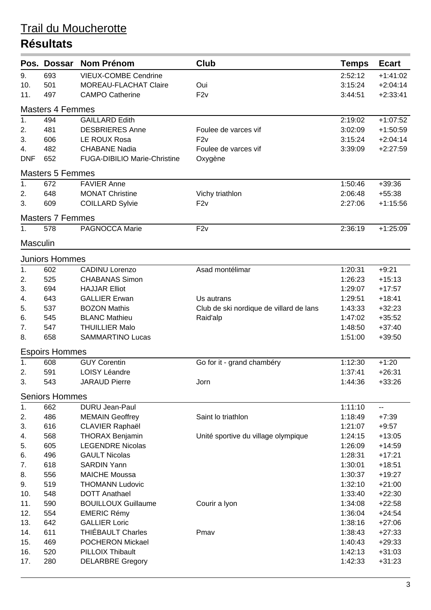|                | Pos. Dossar             | <b>Nom Prénom</b>            | <b>Club</b>                             | <b>Temps</b> | <b>Ecart</b> |
|----------------|-------------------------|------------------------------|-----------------------------------------|--------------|--------------|
| 9.             | 693                     | <b>VIEUX-COMBE Cendrine</b>  |                                         | 2:52:12      | $+1:41:02$   |
| 10.            | 501                     | MOREAU-FLACHAT Claire        | Oui                                     | 3:15:24      | $+2:04:14$   |
| 11.            | 497                     | <b>CAMPO Catherine</b>       | F2v                                     | 3:44:51      | $+2:33:41$   |
|                | <b>Masters 4 Femmes</b> |                              |                                         |              |              |
| 1.             | 494                     | <b>GAILLARD Edith</b>        |                                         | 2:19:02      | $+1:07:52$   |
| 2.             | 481                     | <b>DESBRIERES Anne</b>       | Foulee de varces vif                    | 3:02:09      | $+1:50:59$   |
| 3.             | 606                     | LE ROUX Rosa                 | F2v                                     | 3:15:24      | $+2:04:14$   |
| 4.             | 482                     | <b>CHABANE Nadia</b>         | Foulee de varces vif                    | 3:39:09      | $+2:27:59$   |
| <b>DNF</b>     | 652                     | FUGA-DIBILIO Marie-Christine | Oxygène                                 |              |              |
|                | <b>Masters 5 Femmes</b> |                              |                                         |              |              |
| 1.             | 672                     | <b>FAVIER Anne</b>           |                                         | 1:50:46      | $+39:36$     |
| 2.             | 648                     | <b>MONAT Christine</b>       | Vichy triathlon                         | 2:06:48      | $+55:38$     |
| 3.             | 609                     | <b>COILLARD Sylvie</b>       | F2v                                     | 2:27:06      | $+1:15:56$   |
|                | <b>Masters 7 Femmes</b> |                              |                                         |              |              |
| 1.             | 578                     | PAGNOCCA Marie               | F <sub>2v</sub>                         | 2:36:19      | $+1:25:09$   |
| Masculin       |                         |                              |                                         |              |              |
|                | <b>Juniors Hommes</b>   |                              |                                         |              |              |
| 1.             | 602                     | <b>CADINU Lorenzo</b>        | Asad montélimar                         | 1:20:31      | $+9:21$      |
| 2.             | 525                     | <b>CHABANAS Simon</b>        |                                         | 1:26:23      | $+15:13$     |
| 3.             | 694                     | <b>HAJJAR Elliot</b>         |                                         | 1:29:07      | $+17:57$     |
| 4.             | 643                     | <b>GALLIER Erwan</b>         | Us autrans                              | 1:29:51      | $+18:41$     |
| 5.             | 537                     | <b>BOZON Mathis</b>          | Club de ski nordique de villard de lans | 1:43:33      | $+32:23$     |
| 6.             | 545                     | <b>BLANC Mathieu</b>         | Raid'alp                                | 1:47:02      | $+35:52$     |
| 7.             | 547                     | <b>THUILLIER Malo</b>        |                                         | 1:48:50      | $+37:40$     |
| 8.             | 658                     | <b>SAMMARTINO Lucas</b>      |                                         | 1:51:00      | $+39:50$     |
|                | <b>Espoirs Hommes</b>   |                              |                                         |              |              |
| $\mathbf{1}$ . | 608                     | <b>GUY Corentin</b>          | Go for it - grand chambéry              | 1:12:30      | $+1:20$      |
| 2.             | 591                     | <b>LOISY Léandre</b>         |                                         | 1:37:41      | $+26:31$     |
| 3.             | 543                     | <b>JARAUD Pierre</b>         | Jorn                                    | 1:44:36      | $+33:26$     |
|                | <b>Seniors Hommes</b>   |                              |                                         |              |              |
| 1.             | 662                     | DURU Jean-Paul               |                                         | 1:11:10      | $-$          |
| 2.             | 486                     | <b>MEMAIN Geoffrey</b>       | Saint lo triathlon                      | 1:18:49      | $+7:39$      |
| 3.             | 616                     | <b>CLAVIER Raphaël</b>       |                                         | 1:21:07      | $+9:57$      |
| 4.             | 568                     | <b>THORAX Benjamin</b>       | Unité sportive du village olympique     | 1:24:15      | $+13:05$     |
| 5.             | 605                     | <b>LEGENDRE Nicolas</b>      |                                         | 1:26:09      | $+14:59$     |
| 6.             | 496                     | <b>GAULT Nicolas</b>         |                                         | 1:28:31      | $+17:21$     |
| 7.             | 618                     | <b>SARDIN Yann</b>           |                                         | 1:30:01      | $+18:51$     |
| 8.             | 556                     | <b>MAICHE Moussa</b>         |                                         | 1:30:37      | $+19:27$     |
| 9.             | 519                     | <b>THOMANN Ludovic</b>       |                                         | 1:32:10      | $+21:00$     |
| 10.            | 548                     | <b>DOTT Anathael</b>         |                                         | 1:33:40      | $+22:30$     |
| 11.            | 590                     | <b>BOUILLOUX Guillaume</b>   | Courir a lyon                           | 1:34:08      | $+22:58$     |
| 12.            | 554                     | <b>EMERIC Rémy</b>           |                                         | 1:36:04      | $+24:54$     |
| 13.            | 642                     | <b>GALLIER Loric</b>         |                                         | 1:38:16      | $+27:06$     |
| 14.            | 611                     | <b>THIÉBAULT Charles</b>     | Pmay                                    | 1:38:43      | $+27:33$     |
| 15.            | 469                     | POCHERON Mickael             |                                         | 1:40:43      | $+29:33$     |
| 16.            | 520                     | PILLOIX Thibault             |                                         | 1:42:13      | $+31:03$     |
| 17.            | 280                     | <b>DELARBRE Gregory</b>      |                                         | 1:42:33      | $+31:23$     |
|                |                         |                              |                                         |              |              |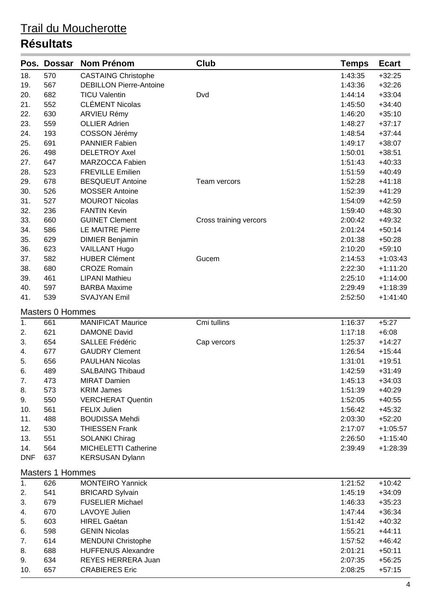| 18.<br>570<br><b>CASTAING Christophe</b><br>1:43:35<br>$+32:25$<br>567<br><b>DEBILLON Pierre-Antoine</b><br>1:43:36<br>$+32:26$<br>19.<br>682<br><b>TICU Valentin</b><br>20.<br>1:44:14<br>$+33:04$<br>Dvd<br><b>CLÉMENT Nicolas</b><br>552<br>21.<br>1:45:50<br>$+34:40$<br>630<br><b>ARVIEU Rémy</b><br>22.<br>1:46:20<br>$+35:10$<br>23.<br>559<br><b>OLLIER Adrien</b><br>1:48:27<br>$+37:17$<br>24.<br>193<br><b>COSSON Jérémy</b><br>1:48:54<br>$+37:44$<br>25.<br>691<br><b>PANNIER Fabien</b><br>1:49:17<br>$+38:07$<br>498<br><b>DELETROY Axel</b><br>$+38:51$<br>26.<br>1:50:01<br>MARZOCCA Fabien<br>27.<br>647<br>1:51:43<br>$+40:33$<br>28.<br>523<br><b>FREVILLE Emilien</b><br>$+40:49$<br>1:51:59<br>678<br>29.<br><b>BESQUEUT Antoine</b><br>1:52:28<br>$+41:18$<br>Team vercors<br>526<br><b>MOSSER Antoine</b><br>30.<br>1:52:39<br>$+41:29$<br>527<br><b>MOUROT Nicolas</b><br>31.<br>1:54:09<br>$+42:59$<br>32.<br>236<br><b>FANTIN Kevin</b><br>1:59:40<br>$+48:30$<br>33.<br>660<br><b>GUINET Clement</b><br>2:00:42<br>$+49:32$<br>Cross training vercors<br>586<br><b>LE MAITRE Pierre</b><br>34.<br>2:01:24<br>$+50:14$<br>35.<br>629<br><b>DIMIER Benjamin</b><br>2:01:38<br>$+50:28$<br>36.<br>623<br>$+59:10$<br><b>VAILLANT Hugo</b><br>2:10:20<br>37.<br>582<br><b>HUBER Clément</b><br>Gucem<br>2:14:53<br>$+1:03:43$<br>38.<br>680<br><b>CROZE Romain</b><br>2:22:30<br>$+1:11:20$<br>461<br><b>LIPANI Mathieu</b><br>2:25:10<br>39.<br>$+1:14:00$<br><b>BARBA Maxime</b><br>40.<br>597<br>2:29:49<br>$+1:18:39$<br>539<br>41.<br><b>SVAJYAN Emil</b><br>2:52:50<br>$+1:41:40$<br><b>Masters 0 Hommes</b><br>1.<br>661<br><b>MANIFICAT Maurice</b><br>Cmi tullins<br>1:16:37<br>$+5:27$<br>621<br><b>DAMONE David</b><br>$+6:08$<br>2.<br>1:17:18<br>3.<br>654<br>SALLEE Frédéric<br>1:25:37<br>$+14:27$<br>Cap vercors<br><b>GAUDRY Clement</b><br>677<br>1:26:54<br>$+15:44$<br>4.<br>656<br><b>PAULHAN Nicolas</b><br>$+19:51$<br>5.<br>1:31:01<br><b>SALBAING Thibaud</b><br>489<br>1:42:59<br>$+31:49$<br>6.<br>7.<br>473<br><b>MIRAT Damien</b><br>1:45:13<br>$+34:03$<br><b>KRIM James</b><br>1:51:39<br>8.<br>573<br>$+40:29$<br>550<br><b>VERCHERAT Quentin</b><br>$+40:55$<br>9.<br>1:52:05<br>561<br><b>FELIX Julien</b><br>1:56:42<br>$+45:32$<br>10.<br><b>BOUDISSA Mehdi</b><br>11.<br>488<br>2:03:30<br>$+52:20$<br>12.<br>530<br><b>THIESSEN Frank</b><br>2:17:07<br>$+1:05:57$<br>13.<br>551<br><b>SOLANKI Chirag</b><br>2:26:50<br>$+1:15:40$<br>14.<br>564<br>MICHELETTI Catherine<br>2:39:49<br>$+1:28:39$<br><b>DNF</b><br>637<br><b>KERSUSAN Dylann</b><br><b>Masters 1 Hommes</b><br><b>MONTEIRO Yannick</b><br>1:21:52<br>626<br>$+10:42$<br>1.<br>541<br><b>BRICARD Sylvain</b><br>2.<br>1:45:19<br>$+34:09$<br>3.<br>679<br><b>FUSELIER Michael</b><br>1:46:33<br>$+35:23$<br>670<br>LAVOYE Julien<br>1:47:44<br>$+36:34$<br>4.<br>603<br><b>HIREL Gaétan</b><br>$+40:32$<br>5.<br>1:51:42<br>598<br><b>GENIN Nicolas</b><br>$+44:11$<br>6.<br>1:55:21<br><b>MENDUNI Christophe</b><br>614<br>1:57:52<br>$+46:42$<br>7.<br><b>HUFFENUS Alexandre</b><br>8.<br>688<br>2:01:21<br>$+50:11$<br>634<br>REYES HERRERA Juan<br>$+56:25$<br>9.<br>2:07:35<br>657<br><b>CRABIERES Eric</b><br>2:08:25<br>$+57:15$<br>10. | Pos. | <b>Dossar</b> | <b>Nom Prénom</b> | <b>Club</b> | <b>Temps</b> | <b>Ecart</b> |
|-----------------------------------------------------------------------------------------------------------------------------------------------------------------------------------------------------------------------------------------------------------------------------------------------------------------------------------------------------------------------------------------------------------------------------------------------------------------------------------------------------------------------------------------------------------------------------------------------------------------------------------------------------------------------------------------------------------------------------------------------------------------------------------------------------------------------------------------------------------------------------------------------------------------------------------------------------------------------------------------------------------------------------------------------------------------------------------------------------------------------------------------------------------------------------------------------------------------------------------------------------------------------------------------------------------------------------------------------------------------------------------------------------------------------------------------------------------------------------------------------------------------------------------------------------------------------------------------------------------------------------------------------------------------------------------------------------------------------------------------------------------------------------------------------------------------------------------------------------------------------------------------------------------------------------------------------------------------------------------------------------------------------------------------------------------------------------------------------------------------------------------------------------------------------------------------------------------------------------------------------------------------------------------------------------------------------------------------------------------------------------------------------------------------------------------------------------------------------------------------------------------------------------------------------------------------------------------------------------------------------------------------------------------------------------------------------------------------------------------------------------------------------------------------------------------------------------------------------------------------------------------------------------------------------------------------------------------------------------------------------------------------------------------------------------------------------------------------------------------------------------------------------------------------------------------------------------------------------------------------------------------------------------|------|---------------|-------------------|-------------|--------------|--------------|
|                                                                                                                                                                                                                                                                                                                                                                                                                                                                                                                                                                                                                                                                                                                                                                                                                                                                                                                                                                                                                                                                                                                                                                                                                                                                                                                                                                                                                                                                                                                                                                                                                                                                                                                                                                                                                                                                                                                                                                                                                                                                                                                                                                                                                                                                                                                                                                                                                                                                                                                                                                                                                                                                                                                                                                                                                                                                                                                                                                                                                                                                                                                                                                                                                                                                             |      |               |                   |             |              |              |
|                                                                                                                                                                                                                                                                                                                                                                                                                                                                                                                                                                                                                                                                                                                                                                                                                                                                                                                                                                                                                                                                                                                                                                                                                                                                                                                                                                                                                                                                                                                                                                                                                                                                                                                                                                                                                                                                                                                                                                                                                                                                                                                                                                                                                                                                                                                                                                                                                                                                                                                                                                                                                                                                                                                                                                                                                                                                                                                                                                                                                                                                                                                                                                                                                                                                             |      |               |                   |             |              |              |
|                                                                                                                                                                                                                                                                                                                                                                                                                                                                                                                                                                                                                                                                                                                                                                                                                                                                                                                                                                                                                                                                                                                                                                                                                                                                                                                                                                                                                                                                                                                                                                                                                                                                                                                                                                                                                                                                                                                                                                                                                                                                                                                                                                                                                                                                                                                                                                                                                                                                                                                                                                                                                                                                                                                                                                                                                                                                                                                                                                                                                                                                                                                                                                                                                                                                             |      |               |                   |             |              |              |
|                                                                                                                                                                                                                                                                                                                                                                                                                                                                                                                                                                                                                                                                                                                                                                                                                                                                                                                                                                                                                                                                                                                                                                                                                                                                                                                                                                                                                                                                                                                                                                                                                                                                                                                                                                                                                                                                                                                                                                                                                                                                                                                                                                                                                                                                                                                                                                                                                                                                                                                                                                                                                                                                                                                                                                                                                                                                                                                                                                                                                                                                                                                                                                                                                                                                             |      |               |                   |             |              |              |
|                                                                                                                                                                                                                                                                                                                                                                                                                                                                                                                                                                                                                                                                                                                                                                                                                                                                                                                                                                                                                                                                                                                                                                                                                                                                                                                                                                                                                                                                                                                                                                                                                                                                                                                                                                                                                                                                                                                                                                                                                                                                                                                                                                                                                                                                                                                                                                                                                                                                                                                                                                                                                                                                                                                                                                                                                                                                                                                                                                                                                                                                                                                                                                                                                                                                             |      |               |                   |             |              |              |
|                                                                                                                                                                                                                                                                                                                                                                                                                                                                                                                                                                                                                                                                                                                                                                                                                                                                                                                                                                                                                                                                                                                                                                                                                                                                                                                                                                                                                                                                                                                                                                                                                                                                                                                                                                                                                                                                                                                                                                                                                                                                                                                                                                                                                                                                                                                                                                                                                                                                                                                                                                                                                                                                                                                                                                                                                                                                                                                                                                                                                                                                                                                                                                                                                                                                             |      |               |                   |             |              |              |
|                                                                                                                                                                                                                                                                                                                                                                                                                                                                                                                                                                                                                                                                                                                                                                                                                                                                                                                                                                                                                                                                                                                                                                                                                                                                                                                                                                                                                                                                                                                                                                                                                                                                                                                                                                                                                                                                                                                                                                                                                                                                                                                                                                                                                                                                                                                                                                                                                                                                                                                                                                                                                                                                                                                                                                                                                                                                                                                                                                                                                                                                                                                                                                                                                                                                             |      |               |                   |             |              |              |
|                                                                                                                                                                                                                                                                                                                                                                                                                                                                                                                                                                                                                                                                                                                                                                                                                                                                                                                                                                                                                                                                                                                                                                                                                                                                                                                                                                                                                                                                                                                                                                                                                                                                                                                                                                                                                                                                                                                                                                                                                                                                                                                                                                                                                                                                                                                                                                                                                                                                                                                                                                                                                                                                                                                                                                                                                                                                                                                                                                                                                                                                                                                                                                                                                                                                             |      |               |                   |             |              |              |
|                                                                                                                                                                                                                                                                                                                                                                                                                                                                                                                                                                                                                                                                                                                                                                                                                                                                                                                                                                                                                                                                                                                                                                                                                                                                                                                                                                                                                                                                                                                                                                                                                                                                                                                                                                                                                                                                                                                                                                                                                                                                                                                                                                                                                                                                                                                                                                                                                                                                                                                                                                                                                                                                                                                                                                                                                                                                                                                                                                                                                                                                                                                                                                                                                                                                             |      |               |                   |             |              |              |
|                                                                                                                                                                                                                                                                                                                                                                                                                                                                                                                                                                                                                                                                                                                                                                                                                                                                                                                                                                                                                                                                                                                                                                                                                                                                                                                                                                                                                                                                                                                                                                                                                                                                                                                                                                                                                                                                                                                                                                                                                                                                                                                                                                                                                                                                                                                                                                                                                                                                                                                                                                                                                                                                                                                                                                                                                                                                                                                                                                                                                                                                                                                                                                                                                                                                             |      |               |                   |             |              |              |
|                                                                                                                                                                                                                                                                                                                                                                                                                                                                                                                                                                                                                                                                                                                                                                                                                                                                                                                                                                                                                                                                                                                                                                                                                                                                                                                                                                                                                                                                                                                                                                                                                                                                                                                                                                                                                                                                                                                                                                                                                                                                                                                                                                                                                                                                                                                                                                                                                                                                                                                                                                                                                                                                                                                                                                                                                                                                                                                                                                                                                                                                                                                                                                                                                                                                             |      |               |                   |             |              |              |
|                                                                                                                                                                                                                                                                                                                                                                                                                                                                                                                                                                                                                                                                                                                                                                                                                                                                                                                                                                                                                                                                                                                                                                                                                                                                                                                                                                                                                                                                                                                                                                                                                                                                                                                                                                                                                                                                                                                                                                                                                                                                                                                                                                                                                                                                                                                                                                                                                                                                                                                                                                                                                                                                                                                                                                                                                                                                                                                                                                                                                                                                                                                                                                                                                                                                             |      |               |                   |             |              |              |
|                                                                                                                                                                                                                                                                                                                                                                                                                                                                                                                                                                                                                                                                                                                                                                                                                                                                                                                                                                                                                                                                                                                                                                                                                                                                                                                                                                                                                                                                                                                                                                                                                                                                                                                                                                                                                                                                                                                                                                                                                                                                                                                                                                                                                                                                                                                                                                                                                                                                                                                                                                                                                                                                                                                                                                                                                                                                                                                                                                                                                                                                                                                                                                                                                                                                             |      |               |                   |             |              |              |
|                                                                                                                                                                                                                                                                                                                                                                                                                                                                                                                                                                                                                                                                                                                                                                                                                                                                                                                                                                                                                                                                                                                                                                                                                                                                                                                                                                                                                                                                                                                                                                                                                                                                                                                                                                                                                                                                                                                                                                                                                                                                                                                                                                                                                                                                                                                                                                                                                                                                                                                                                                                                                                                                                                                                                                                                                                                                                                                                                                                                                                                                                                                                                                                                                                                                             |      |               |                   |             |              |              |
|                                                                                                                                                                                                                                                                                                                                                                                                                                                                                                                                                                                                                                                                                                                                                                                                                                                                                                                                                                                                                                                                                                                                                                                                                                                                                                                                                                                                                                                                                                                                                                                                                                                                                                                                                                                                                                                                                                                                                                                                                                                                                                                                                                                                                                                                                                                                                                                                                                                                                                                                                                                                                                                                                                                                                                                                                                                                                                                                                                                                                                                                                                                                                                                                                                                                             |      |               |                   |             |              |              |
|                                                                                                                                                                                                                                                                                                                                                                                                                                                                                                                                                                                                                                                                                                                                                                                                                                                                                                                                                                                                                                                                                                                                                                                                                                                                                                                                                                                                                                                                                                                                                                                                                                                                                                                                                                                                                                                                                                                                                                                                                                                                                                                                                                                                                                                                                                                                                                                                                                                                                                                                                                                                                                                                                                                                                                                                                                                                                                                                                                                                                                                                                                                                                                                                                                                                             |      |               |                   |             |              |              |
|                                                                                                                                                                                                                                                                                                                                                                                                                                                                                                                                                                                                                                                                                                                                                                                                                                                                                                                                                                                                                                                                                                                                                                                                                                                                                                                                                                                                                                                                                                                                                                                                                                                                                                                                                                                                                                                                                                                                                                                                                                                                                                                                                                                                                                                                                                                                                                                                                                                                                                                                                                                                                                                                                                                                                                                                                                                                                                                                                                                                                                                                                                                                                                                                                                                                             |      |               |                   |             |              |              |
|                                                                                                                                                                                                                                                                                                                                                                                                                                                                                                                                                                                                                                                                                                                                                                                                                                                                                                                                                                                                                                                                                                                                                                                                                                                                                                                                                                                                                                                                                                                                                                                                                                                                                                                                                                                                                                                                                                                                                                                                                                                                                                                                                                                                                                                                                                                                                                                                                                                                                                                                                                                                                                                                                                                                                                                                                                                                                                                                                                                                                                                                                                                                                                                                                                                                             |      |               |                   |             |              |              |
|                                                                                                                                                                                                                                                                                                                                                                                                                                                                                                                                                                                                                                                                                                                                                                                                                                                                                                                                                                                                                                                                                                                                                                                                                                                                                                                                                                                                                                                                                                                                                                                                                                                                                                                                                                                                                                                                                                                                                                                                                                                                                                                                                                                                                                                                                                                                                                                                                                                                                                                                                                                                                                                                                                                                                                                                                                                                                                                                                                                                                                                                                                                                                                                                                                                                             |      |               |                   |             |              |              |
|                                                                                                                                                                                                                                                                                                                                                                                                                                                                                                                                                                                                                                                                                                                                                                                                                                                                                                                                                                                                                                                                                                                                                                                                                                                                                                                                                                                                                                                                                                                                                                                                                                                                                                                                                                                                                                                                                                                                                                                                                                                                                                                                                                                                                                                                                                                                                                                                                                                                                                                                                                                                                                                                                                                                                                                                                                                                                                                                                                                                                                                                                                                                                                                                                                                                             |      |               |                   |             |              |              |
|                                                                                                                                                                                                                                                                                                                                                                                                                                                                                                                                                                                                                                                                                                                                                                                                                                                                                                                                                                                                                                                                                                                                                                                                                                                                                                                                                                                                                                                                                                                                                                                                                                                                                                                                                                                                                                                                                                                                                                                                                                                                                                                                                                                                                                                                                                                                                                                                                                                                                                                                                                                                                                                                                                                                                                                                                                                                                                                                                                                                                                                                                                                                                                                                                                                                             |      |               |                   |             |              |              |
|                                                                                                                                                                                                                                                                                                                                                                                                                                                                                                                                                                                                                                                                                                                                                                                                                                                                                                                                                                                                                                                                                                                                                                                                                                                                                                                                                                                                                                                                                                                                                                                                                                                                                                                                                                                                                                                                                                                                                                                                                                                                                                                                                                                                                                                                                                                                                                                                                                                                                                                                                                                                                                                                                                                                                                                                                                                                                                                                                                                                                                                                                                                                                                                                                                                                             |      |               |                   |             |              |              |
|                                                                                                                                                                                                                                                                                                                                                                                                                                                                                                                                                                                                                                                                                                                                                                                                                                                                                                                                                                                                                                                                                                                                                                                                                                                                                                                                                                                                                                                                                                                                                                                                                                                                                                                                                                                                                                                                                                                                                                                                                                                                                                                                                                                                                                                                                                                                                                                                                                                                                                                                                                                                                                                                                                                                                                                                                                                                                                                                                                                                                                                                                                                                                                                                                                                                             |      |               |                   |             |              |              |
|                                                                                                                                                                                                                                                                                                                                                                                                                                                                                                                                                                                                                                                                                                                                                                                                                                                                                                                                                                                                                                                                                                                                                                                                                                                                                                                                                                                                                                                                                                                                                                                                                                                                                                                                                                                                                                                                                                                                                                                                                                                                                                                                                                                                                                                                                                                                                                                                                                                                                                                                                                                                                                                                                                                                                                                                                                                                                                                                                                                                                                                                                                                                                                                                                                                                             |      |               |                   |             |              |              |
|                                                                                                                                                                                                                                                                                                                                                                                                                                                                                                                                                                                                                                                                                                                                                                                                                                                                                                                                                                                                                                                                                                                                                                                                                                                                                                                                                                                                                                                                                                                                                                                                                                                                                                                                                                                                                                                                                                                                                                                                                                                                                                                                                                                                                                                                                                                                                                                                                                                                                                                                                                                                                                                                                                                                                                                                                                                                                                                                                                                                                                                                                                                                                                                                                                                                             |      |               |                   |             |              |              |
|                                                                                                                                                                                                                                                                                                                                                                                                                                                                                                                                                                                                                                                                                                                                                                                                                                                                                                                                                                                                                                                                                                                                                                                                                                                                                                                                                                                                                                                                                                                                                                                                                                                                                                                                                                                                                                                                                                                                                                                                                                                                                                                                                                                                                                                                                                                                                                                                                                                                                                                                                                                                                                                                                                                                                                                                                                                                                                                                                                                                                                                                                                                                                                                                                                                                             |      |               |                   |             |              |              |
|                                                                                                                                                                                                                                                                                                                                                                                                                                                                                                                                                                                                                                                                                                                                                                                                                                                                                                                                                                                                                                                                                                                                                                                                                                                                                                                                                                                                                                                                                                                                                                                                                                                                                                                                                                                                                                                                                                                                                                                                                                                                                                                                                                                                                                                                                                                                                                                                                                                                                                                                                                                                                                                                                                                                                                                                                                                                                                                                                                                                                                                                                                                                                                                                                                                                             |      |               |                   |             |              |              |
|                                                                                                                                                                                                                                                                                                                                                                                                                                                                                                                                                                                                                                                                                                                                                                                                                                                                                                                                                                                                                                                                                                                                                                                                                                                                                                                                                                                                                                                                                                                                                                                                                                                                                                                                                                                                                                                                                                                                                                                                                                                                                                                                                                                                                                                                                                                                                                                                                                                                                                                                                                                                                                                                                                                                                                                                                                                                                                                                                                                                                                                                                                                                                                                                                                                                             |      |               |                   |             |              |              |
|                                                                                                                                                                                                                                                                                                                                                                                                                                                                                                                                                                                                                                                                                                                                                                                                                                                                                                                                                                                                                                                                                                                                                                                                                                                                                                                                                                                                                                                                                                                                                                                                                                                                                                                                                                                                                                                                                                                                                                                                                                                                                                                                                                                                                                                                                                                                                                                                                                                                                                                                                                                                                                                                                                                                                                                                                                                                                                                                                                                                                                                                                                                                                                                                                                                                             |      |               |                   |             |              |              |
|                                                                                                                                                                                                                                                                                                                                                                                                                                                                                                                                                                                                                                                                                                                                                                                                                                                                                                                                                                                                                                                                                                                                                                                                                                                                                                                                                                                                                                                                                                                                                                                                                                                                                                                                                                                                                                                                                                                                                                                                                                                                                                                                                                                                                                                                                                                                                                                                                                                                                                                                                                                                                                                                                                                                                                                                                                                                                                                                                                                                                                                                                                                                                                                                                                                                             |      |               |                   |             |              |              |
|                                                                                                                                                                                                                                                                                                                                                                                                                                                                                                                                                                                                                                                                                                                                                                                                                                                                                                                                                                                                                                                                                                                                                                                                                                                                                                                                                                                                                                                                                                                                                                                                                                                                                                                                                                                                                                                                                                                                                                                                                                                                                                                                                                                                                                                                                                                                                                                                                                                                                                                                                                                                                                                                                                                                                                                                                                                                                                                                                                                                                                                                                                                                                                                                                                                                             |      |               |                   |             |              |              |
|                                                                                                                                                                                                                                                                                                                                                                                                                                                                                                                                                                                                                                                                                                                                                                                                                                                                                                                                                                                                                                                                                                                                                                                                                                                                                                                                                                                                                                                                                                                                                                                                                                                                                                                                                                                                                                                                                                                                                                                                                                                                                                                                                                                                                                                                                                                                                                                                                                                                                                                                                                                                                                                                                                                                                                                                                                                                                                                                                                                                                                                                                                                                                                                                                                                                             |      |               |                   |             |              |              |
|                                                                                                                                                                                                                                                                                                                                                                                                                                                                                                                                                                                                                                                                                                                                                                                                                                                                                                                                                                                                                                                                                                                                                                                                                                                                                                                                                                                                                                                                                                                                                                                                                                                                                                                                                                                                                                                                                                                                                                                                                                                                                                                                                                                                                                                                                                                                                                                                                                                                                                                                                                                                                                                                                                                                                                                                                                                                                                                                                                                                                                                                                                                                                                                                                                                                             |      |               |                   |             |              |              |
|                                                                                                                                                                                                                                                                                                                                                                                                                                                                                                                                                                                                                                                                                                                                                                                                                                                                                                                                                                                                                                                                                                                                                                                                                                                                                                                                                                                                                                                                                                                                                                                                                                                                                                                                                                                                                                                                                                                                                                                                                                                                                                                                                                                                                                                                                                                                                                                                                                                                                                                                                                                                                                                                                                                                                                                                                                                                                                                                                                                                                                                                                                                                                                                                                                                                             |      |               |                   |             |              |              |
|                                                                                                                                                                                                                                                                                                                                                                                                                                                                                                                                                                                                                                                                                                                                                                                                                                                                                                                                                                                                                                                                                                                                                                                                                                                                                                                                                                                                                                                                                                                                                                                                                                                                                                                                                                                                                                                                                                                                                                                                                                                                                                                                                                                                                                                                                                                                                                                                                                                                                                                                                                                                                                                                                                                                                                                                                                                                                                                                                                                                                                                                                                                                                                                                                                                                             |      |               |                   |             |              |              |
|                                                                                                                                                                                                                                                                                                                                                                                                                                                                                                                                                                                                                                                                                                                                                                                                                                                                                                                                                                                                                                                                                                                                                                                                                                                                                                                                                                                                                                                                                                                                                                                                                                                                                                                                                                                                                                                                                                                                                                                                                                                                                                                                                                                                                                                                                                                                                                                                                                                                                                                                                                                                                                                                                                                                                                                                                                                                                                                                                                                                                                                                                                                                                                                                                                                                             |      |               |                   |             |              |              |
|                                                                                                                                                                                                                                                                                                                                                                                                                                                                                                                                                                                                                                                                                                                                                                                                                                                                                                                                                                                                                                                                                                                                                                                                                                                                                                                                                                                                                                                                                                                                                                                                                                                                                                                                                                                                                                                                                                                                                                                                                                                                                                                                                                                                                                                                                                                                                                                                                                                                                                                                                                                                                                                                                                                                                                                                                                                                                                                                                                                                                                                                                                                                                                                                                                                                             |      |               |                   |             |              |              |
|                                                                                                                                                                                                                                                                                                                                                                                                                                                                                                                                                                                                                                                                                                                                                                                                                                                                                                                                                                                                                                                                                                                                                                                                                                                                                                                                                                                                                                                                                                                                                                                                                                                                                                                                                                                                                                                                                                                                                                                                                                                                                                                                                                                                                                                                                                                                                                                                                                                                                                                                                                                                                                                                                                                                                                                                                                                                                                                                                                                                                                                                                                                                                                                                                                                                             |      |               |                   |             |              |              |
|                                                                                                                                                                                                                                                                                                                                                                                                                                                                                                                                                                                                                                                                                                                                                                                                                                                                                                                                                                                                                                                                                                                                                                                                                                                                                                                                                                                                                                                                                                                                                                                                                                                                                                                                                                                                                                                                                                                                                                                                                                                                                                                                                                                                                                                                                                                                                                                                                                                                                                                                                                                                                                                                                                                                                                                                                                                                                                                                                                                                                                                                                                                                                                                                                                                                             |      |               |                   |             |              |              |
|                                                                                                                                                                                                                                                                                                                                                                                                                                                                                                                                                                                                                                                                                                                                                                                                                                                                                                                                                                                                                                                                                                                                                                                                                                                                                                                                                                                                                                                                                                                                                                                                                                                                                                                                                                                                                                                                                                                                                                                                                                                                                                                                                                                                                                                                                                                                                                                                                                                                                                                                                                                                                                                                                                                                                                                                                                                                                                                                                                                                                                                                                                                                                                                                                                                                             |      |               |                   |             |              |              |
|                                                                                                                                                                                                                                                                                                                                                                                                                                                                                                                                                                                                                                                                                                                                                                                                                                                                                                                                                                                                                                                                                                                                                                                                                                                                                                                                                                                                                                                                                                                                                                                                                                                                                                                                                                                                                                                                                                                                                                                                                                                                                                                                                                                                                                                                                                                                                                                                                                                                                                                                                                                                                                                                                                                                                                                                                                                                                                                                                                                                                                                                                                                                                                                                                                                                             |      |               |                   |             |              |              |
|                                                                                                                                                                                                                                                                                                                                                                                                                                                                                                                                                                                                                                                                                                                                                                                                                                                                                                                                                                                                                                                                                                                                                                                                                                                                                                                                                                                                                                                                                                                                                                                                                                                                                                                                                                                                                                                                                                                                                                                                                                                                                                                                                                                                                                                                                                                                                                                                                                                                                                                                                                                                                                                                                                                                                                                                                                                                                                                                                                                                                                                                                                                                                                                                                                                                             |      |               |                   |             |              |              |
|                                                                                                                                                                                                                                                                                                                                                                                                                                                                                                                                                                                                                                                                                                                                                                                                                                                                                                                                                                                                                                                                                                                                                                                                                                                                                                                                                                                                                                                                                                                                                                                                                                                                                                                                                                                                                                                                                                                                                                                                                                                                                                                                                                                                                                                                                                                                                                                                                                                                                                                                                                                                                                                                                                                                                                                                                                                                                                                                                                                                                                                                                                                                                                                                                                                                             |      |               |                   |             |              |              |
|                                                                                                                                                                                                                                                                                                                                                                                                                                                                                                                                                                                                                                                                                                                                                                                                                                                                                                                                                                                                                                                                                                                                                                                                                                                                                                                                                                                                                                                                                                                                                                                                                                                                                                                                                                                                                                                                                                                                                                                                                                                                                                                                                                                                                                                                                                                                                                                                                                                                                                                                                                                                                                                                                                                                                                                                                                                                                                                                                                                                                                                                                                                                                                                                                                                                             |      |               |                   |             |              |              |
|                                                                                                                                                                                                                                                                                                                                                                                                                                                                                                                                                                                                                                                                                                                                                                                                                                                                                                                                                                                                                                                                                                                                                                                                                                                                                                                                                                                                                                                                                                                                                                                                                                                                                                                                                                                                                                                                                                                                                                                                                                                                                                                                                                                                                                                                                                                                                                                                                                                                                                                                                                                                                                                                                                                                                                                                                                                                                                                                                                                                                                                                                                                                                                                                                                                                             |      |               |                   |             |              |              |
|                                                                                                                                                                                                                                                                                                                                                                                                                                                                                                                                                                                                                                                                                                                                                                                                                                                                                                                                                                                                                                                                                                                                                                                                                                                                                                                                                                                                                                                                                                                                                                                                                                                                                                                                                                                                                                                                                                                                                                                                                                                                                                                                                                                                                                                                                                                                                                                                                                                                                                                                                                                                                                                                                                                                                                                                                                                                                                                                                                                                                                                                                                                                                                                                                                                                             |      |               |                   |             |              |              |
|                                                                                                                                                                                                                                                                                                                                                                                                                                                                                                                                                                                                                                                                                                                                                                                                                                                                                                                                                                                                                                                                                                                                                                                                                                                                                                                                                                                                                                                                                                                                                                                                                                                                                                                                                                                                                                                                                                                                                                                                                                                                                                                                                                                                                                                                                                                                                                                                                                                                                                                                                                                                                                                                                                                                                                                                                                                                                                                                                                                                                                                                                                                                                                                                                                                                             |      |               |                   |             |              |              |
|                                                                                                                                                                                                                                                                                                                                                                                                                                                                                                                                                                                                                                                                                                                                                                                                                                                                                                                                                                                                                                                                                                                                                                                                                                                                                                                                                                                                                                                                                                                                                                                                                                                                                                                                                                                                                                                                                                                                                                                                                                                                                                                                                                                                                                                                                                                                                                                                                                                                                                                                                                                                                                                                                                                                                                                                                                                                                                                                                                                                                                                                                                                                                                                                                                                                             |      |               |                   |             |              |              |
|                                                                                                                                                                                                                                                                                                                                                                                                                                                                                                                                                                                                                                                                                                                                                                                                                                                                                                                                                                                                                                                                                                                                                                                                                                                                                                                                                                                                                                                                                                                                                                                                                                                                                                                                                                                                                                                                                                                                                                                                                                                                                                                                                                                                                                                                                                                                                                                                                                                                                                                                                                                                                                                                                                                                                                                                                                                                                                                                                                                                                                                                                                                                                                                                                                                                             |      |               |                   |             |              |              |
|                                                                                                                                                                                                                                                                                                                                                                                                                                                                                                                                                                                                                                                                                                                                                                                                                                                                                                                                                                                                                                                                                                                                                                                                                                                                                                                                                                                                                                                                                                                                                                                                                                                                                                                                                                                                                                                                                                                                                                                                                                                                                                                                                                                                                                                                                                                                                                                                                                                                                                                                                                                                                                                                                                                                                                                                                                                                                                                                                                                                                                                                                                                                                                                                                                                                             |      |               |                   |             |              |              |
|                                                                                                                                                                                                                                                                                                                                                                                                                                                                                                                                                                                                                                                                                                                                                                                                                                                                                                                                                                                                                                                                                                                                                                                                                                                                                                                                                                                                                                                                                                                                                                                                                                                                                                                                                                                                                                                                                                                                                                                                                                                                                                                                                                                                                                                                                                                                                                                                                                                                                                                                                                                                                                                                                                                                                                                                                                                                                                                                                                                                                                                                                                                                                                                                                                                                             |      |               |                   |             |              |              |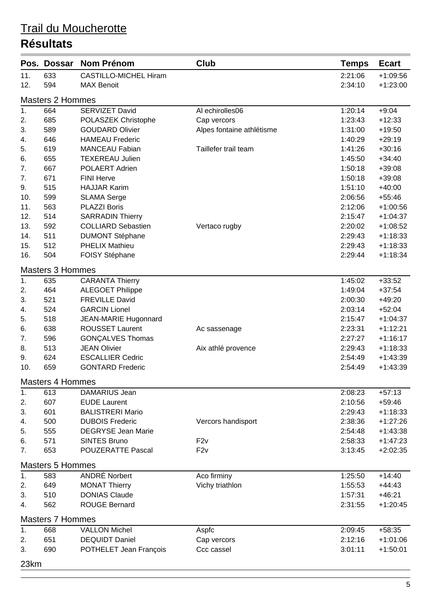| Pos. | <b>Dossar</b>           | <b>Nom Prénom</b>            | <b>Club</b>               | <b>Temps</b> | <b>Ecart</b> |
|------|-------------------------|------------------------------|---------------------------|--------------|--------------|
| 11.  | 633                     | <b>CASTILLO-MICHEL Hiram</b> |                           | 2:21:06      | $+1:09:56$   |
| 12.  | 594                     | <b>MAX Benoit</b>            |                           | 2:34:10      | $+1:23:00$   |
|      | <b>Masters 2 Hommes</b> |                              |                           |              |              |
| 1.   | 664                     | <b>SERVIZET David</b>        | Al echirolles06           | 1:20:14      | $+9:04$      |
| 2.   | 685                     | POLASZEK Christophe          | Cap vercors               | 1:23:43      | $+12:33$     |
| 3.   | 589                     | <b>GOUDARD Olivier</b>       | Alpes fontaine athlétisme | 1:31:00      | $+19:50$     |
| 4.   | 646                     | <b>HAMEAU Frederic</b>       |                           | 1:40:29      | $+29:19$     |
| 5.   | 619                     | <b>MANCEAU Fabian</b>        | Taillefer trail team      | 1:41:26      | $+30:16$     |
| 6.   | 655                     | <b>TEXEREAU Julien</b>       |                           | 1:45:50      | $+34:40$     |
| 7.   | 667                     | POLAERT Adrien               |                           | 1:50:18      | $+39:08$     |
| 7.   | 671                     | <b>FINI Herve</b>            |                           | 1:50:18      | $+39:08$     |
| 9.   | 515                     | <b>HAJJAR Karim</b>          |                           | 1:51:10      | $+40:00$     |
| 10.  | 599                     | <b>SLAMA Serge</b>           |                           | 2:06:56      | $+55:46$     |
| 11.  | 563                     | <b>PLAZZI Boris</b>          |                           | 2:12:06      | $+1:00:56$   |
| 12.  | 514                     | <b>SARRADIN Thierry</b>      |                           | 2:15:47      | $+1:04:37$   |
| 13.  | 592                     | <b>COLLIARD Sebastien</b>    | Vertaco rugby             | 2:20:02      | $+1:08:52$   |
| 14.  | 511                     | <b>DUMONT Stéphane</b>       |                           | 2:29:43      | $+1:18:33$   |
| 15.  | 512                     | <b>PHELIX Mathieu</b>        |                           | 2:29:43      | $+1:18:33$   |
| 16.  | 504                     | FOISY Stéphane               |                           | 2:29:44      | $+1:18:34$   |
|      | <b>Masters 3 Hommes</b> |                              |                           |              |              |
| 1.   | 635                     | <b>CARANTA Thierry</b>       |                           | 1:45:02      | $+33:52$     |
| 2.   | 464                     | <b>ALEGOET Philippe</b>      |                           | 1:49:04      | $+37:54$     |
| 3.   | 521                     | <b>FREVILLE David</b>        |                           | 2:00:30      | $+49:20$     |
| 4.   | 524                     | <b>GARCIN Lionel</b>         |                           | 2:03:14      | $+52:04$     |
| 5.   | 518                     | JEAN-MARIE Hugonnard         |                           | 2:15:47      | $+1:04:37$   |
| 6.   | 638                     | <b>ROUSSET Laurent</b>       | Ac sassenage              | 2:23:31      | $+1:12:21$   |
| 7.   | 596                     | <b>GONÇALVES Thomas</b>      |                           | 2:27:27      | $+1:16:17$   |
| 8.   | 513                     | <b>JEAN Olivier</b>          | Aix athlé provence        | 2:29:43      | $+1:18:33$   |
| 9.   | 624                     | <b>ESCALLIER Cedric</b>      |                           | 2:54:49      | $+1:43:39$   |
| 10.  | 659                     | <b>GONTARD Frederic</b>      |                           | 2:54:49      | $+1:43:39$   |
|      | <b>Masters 4 Hommes</b> |                              |                           |              |              |
| 1.   | 613                     | DAMARIUS Jean                |                           | 2:08:23      | $+57:13$     |
| 2.   | 607                     | <b>EUDE Laurent</b>          |                           | 2:10:56      | $+59:46$     |
| 3.   | 601                     | <b>BALISTRERI Mario</b>      |                           | 2:29:43      | $+1:18:33$   |
| 4.   | 500                     | <b>DUBOIS Frederic</b>       | Vercors handisport        | 2:38:36      | $+1:27:26$   |
| 5.   | 555                     | <b>DEGRYSE Jean Marie</b>    |                           | 2:54:48      | $+1:43:38$   |
| 6.   | 571                     | <b>SINTES Bruno</b>          | F2v                       | 2:58:33      | $+1:47:23$   |
| 7.   | 653                     | <b>POUZERATTE Pascal</b>     | F2v                       | 3:13:45      | $+2:02:35$   |
|      | <b>Masters 5 Hommes</b> |                              |                           |              |              |
| 1.   | 583                     | <b>ANDRÉ Norbert</b>         | Aco firminy               | 1:25:50      | $+14:40$     |
| 2.   | 649                     | <b>MONAT Thierry</b>         | Vichy triathlon           | 1:55:53      | $+44:43$     |
| 3.   | 510                     | <b>DONIAS Claude</b>         |                           | 1:57:31      | $+46:21$     |
| 4.   | 562                     | <b>ROUGE Bernard</b>         |                           | 2:31:55      | $+1:20:45$   |
|      | <b>Masters 7 Hommes</b> |                              |                           |              |              |
| 1.   | 668                     | <b>VALLON Michel</b>         | Aspfc                     | 2:09:45      | $+58:35$     |
| 2.   | 651                     | <b>DEQUIDT Daniel</b>        | Cap vercors               | 2:12:16      | $+1:01:06$   |
| 3.   | 690                     | POTHELET Jean François       | Ccc cassel                | 3:01:11      | $+1:50:01$   |
| 23km |                         |                              |                           |              |              |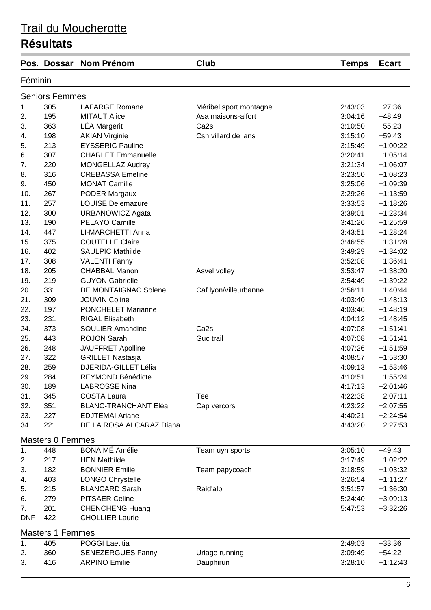|            | Pos. Dossar             | <b>Nom Prénom</b>           | Club                   | <b>Temps</b> | <b>Ecart</b> |
|------------|-------------------------|-----------------------------|------------------------|--------------|--------------|
| Féminin    |                         |                             |                        |              |              |
|            | <b>Seniors Femmes</b>   |                             |                        |              |              |
| 1.         | 305                     | <b>LAFARGE Romane</b>       | Méribel sport montagne | 2:43:03      | $+27:36$     |
| 2.         | 195                     | <b>MITAUT Alice</b>         | Asa maisons-alfort     | 3:04:16      | $+48:49$     |
| 3.         | 363                     | <b>LÉA Margerit</b>         | Ca <sub>2s</sub>       | 3:10:50      | $+55:23$     |
| 4.         | 198                     | <b>AKIAN Virginie</b>       | Csn villard de lans    | 3:15:10      | $+59:43$     |
| 5.         | 213                     | <b>EYSSERIC Pauline</b>     |                        | 3:15:49      | $+1:00:22$   |
| 6.         | 307                     | <b>CHARLET Emmanuelle</b>   |                        | 3:20:41      | $+1:05:14$   |
| 7.         | 220                     | <b>MONGELLAZ Audrey</b>     |                        | 3:21:34      | $+1:06:07$   |
| 8.         | 316                     | <b>CREBASSA Emeline</b>     |                        | 3:23:50      | $+1:08:23$   |
| 9.         | 450                     | <b>MONAT Camille</b>        |                        | 3:25:06      | $+1:09:39$   |
| 10.        | 267                     | PODER Margaux               |                        | 3:29:26      | $+1:13:59$   |
| 11.        | 257                     | <b>LOUISE Delemazure</b>    |                        | 3:33:53      | $+1:18:26$   |
| 12.        | 300                     | <b>URBANOWICZ Agata</b>     |                        | 3:39:01      | $+1:23:34$   |
| 13.        | 190                     | PELAYO Camille              |                        | 3:41:26      | $+1:25:59$   |
| 14.        | 447                     | LI-MARCHETTI Anna           |                        | 3:43:51      | $+1:28:24$   |
| 15.        | 375                     | <b>COUTELLE Claire</b>      |                        | 3:46:55      | $+1:31:28$   |
| 16.        | 402                     | <b>SAULPIC Mathilde</b>     |                        | 3:49:29      | $+1:34:02$   |
| 17.        | 308                     | <b>VALENTI Fanny</b>        |                        | 3:52:08      | $+1:36:41$   |
| 18.        | 205                     | <b>CHABBAL Manon</b>        | Asvel volley           | 3:53:47      | $+1:38:20$   |
| 19.        | 219                     | <b>GUYON Gabrielle</b>      |                        | 3:54:49      | $+1:39:22$   |
| 20.        | 331                     | DE MONTAIGNAC Solene        | Caf Iyon/villeurbanne  | 3:56:11      | $+1:40:44$   |
| 21.        | 309                     | <b>JOUVIN Coline</b>        |                        | 4:03:40      | $+1:48:13$   |
| 22.        | 197                     | <b>PONCHELET Marianne</b>   |                        | 4:03:46      | $+1:48:19$   |
| 23.        | 231                     | <b>RIGAL Elisabeth</b>      |                        | 4:04:12      | $+1:48:45$   |
| 24.        | 373                     | <b>SOULIER Amandine</b>     | Ca <sub>2s</sub>       | 4:07:08      | $+1:51:41$   |
| 25.        | 443                     | <b>ROJON Sarah</b>          | Guc trail              | 4:07:08      | $+1:51:41$   |
| 26.        | 248                     | <b>JAUFFRET Apolline</b>    |                        | 4:07:26      | $+1:51:59$   |
| 27.        | 322                     | <b>GRILLET Nastasja</b>     |                        | 4:08:57      | $+1:53:30$   |
| 28.        | 259                     | <b>DJERIDA-GILLET Lélia</b> |                        | 4:09:13      | $+1:53:46$   |
| 29.        | 284                     | REYMOND Bénédicte           |                        | 4:10:51      | $+1:55:24$   |
| 30.        | 189                     | <b>LABROSSE Nina</b>        |                        | 4:17:13      | $+2:01:46$   |
| 31.        | 345                     | <b>COSTA Laura</b>          | Tee                    | 4:22:38      | $+2:07:11$   |
| 32.        | 351                     | <b>BLANC-TRANCHANT Eléa</b> | Cap vercors            | 4:23:22      | $+2:07:55$   |
| 33.        | 227                     | <b>EDJTEMAI Ariane</b>      |                        | 4:40:21      | $+2:24:54$   |
| 34.        | 221                     | DE LA ROSA ALCARAZ Diana    |                        | 4:43:20      | $+2:27:53$   |
|            | <b>Masters 0 Femmes</b> |                             |                        |              |              |
| 1.         | 448                     | <b>BONAIMÉ Amélie</b>       | Team uyn sports        | 3:05:10      | $+49:43$     |
| 2.         | 217                     | <b>HEN Mathilde</b>         |                        | 3:17:49      | $+1:02:22$   |
| 3.         | 182                     | <b>BONNIER Emilie</b>       | Team papycoach         | 3:18:59      | $+1:03:32$   |
| 4.         | 403                     | <b>LONGO Chrystelle</b>     |                        | 3:26:54      | $+1:11:27$   |
| 5.         | 215                     | <b>BLANCARD Sarah</b>       | Raid'alp               | 3:51:57      | $+1:36:30$   |
| 6.         | 279                     | <b>PITSAER Celine</b>       |                        | 5:24:40      | $+3:09:13$   |
| 7.         | 201                     | <b>CHENCHENG Huang</b>      |                        | 5:47:53      | $+3:32:26$   |
| <b>DNF</b> | 422                     | <b>CHOLLIER Laurie</b>      |                        |              |              |
|            | <b>Masters 1 Femmes</b> |                             |                        |              |              |
| 1.         | 405                     | <b>POGGI Laetitia</b>       |                        | 2:49:03      | $+33:36$     |
| 2.         | 360                     | <b>SENEZERGUES Fanny</b>    | Uriage running         | 3:09:49      | $+54:22$     |
| 3.         | 416                     | <b>ARPINO Emilie</b>        | Dauphirun              | 3:28:10      | $+1:12:43$   |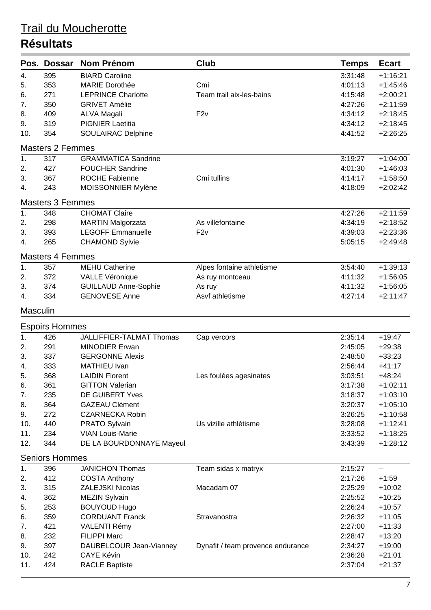| Pos.             | <b>Dossar</b>           | <b>Nom Prénom</b>           | <b>Club</b>                       | <b>Temps</b> | <b>Ecart</b> |
|------------------|-------------------------|-----------------------------|-----------------------------------|--------------|--------------|
| 4.               | 395                     | <b>BIARD Caroline</b>       |                                   | 3:31:48      | $+1:16:21$   |
| 5.               | 353                     | <b>MARIE Dorothée</b>       | Cmi                               | 4:01:13      | $+1:45:46$   |
| 6.               | 271                     | <b>LEPRINCE Charlotte</b>   | Team trail aix-les-bains          | 4:15:48      | $+2:00:21$   |
| 7.               | 350                     | <b>GRIVET Amélie</b>        |                                   | 4:27:26      | $+2:11:59$   |
| 8.               | 409                     | <b>ALVA Magali</b>          | F2v                               | 4:34:12      | $+2:18:45$   |
| 9.               | 319                     | <b>PIGNIER Laetitia</b>     |                                   | 4:34:12      | $+2:18:45$   |
| 10.              | 354                     | SOULAIRAC Delphine          |                                   | 4:41:52      | $+2:26:25$   |
|                  | <b>Masters 2 Femmes</b> |                             |                                   |              |              |
| $\overline{1}$ . | 317                     | <b>GRAMMATICA Sandrine</b>  |                                   | 3:19:27      | $+1:04:00$   |
| 2.               | 427                     | <b>FOUCHER Sandrine</b>     |                                   | 4:01:30      | $+1:46:03$   |
| 3.               | 367                     | <b>ROCHE Fabienne</b>       | Cmi tullins                       | 4:14:17      | $+1:58:50$   |
| 4.               | 243                     | MOISSONNIER Mylène          |                                   | 4:18:09      | $+2:02:42$   |
|                  | <b>Masters 3 Femmes</b> |                             |                                   |              |              |
| 1.               | 348                     | <b>CHOMAT Claire</b>        |                                   | 4:27:26      | $+2:11:59$   |
| 2.               | 298                     | <b>MARTIN Malgorzata</b>    | As villefontaine                  | 4:34:19      | $+2:18:52$   |
| 3.               | 393                     | <b>LEGOFF Emmanuelle</b>    | F2v                               | 4:39:03      | $+2:23:36$   |
| 4.               | 265                     | <b>CHAMOND Sylvie</b>       |                                   | 5:05:15      | $+2:49:48$   |
|                  | <b>Masters 4 Femmes</b> |                             |                                   |              |              |
| $\overline{1}$ . | 357                     | <b>MEHU Catherine</b>       | Alpes fontaine athletisme         | 3:54:40      | $+1:39:13$   |
| 2.               | 372                     | VALLE Véronique             | As ruy montceau                   | 4:11:32      | $+1:56:05$   |
| 3.               | 374                     | <b>GUILLAUD Anne-Sophie</b> | As ruy                            | 4:11:32      | $+1:56:05$   |
| 4.               | 334                     | <b>GENOVESE Anne</b>        | Asvf athletisme                   | 4:27:14      | $+2:11:47$   |
| <b>Masculin</b>  |                         |                             |                                   |              |              |
|                  | <b>Espoirs Hommes</b>   |                             |                                   |              |              |
| 1.               | 426                     | JALLIFFIER-TALMAT Thomas    | Cap vercors                       | 2:35:14      | $+19:47$     |
| 2.               | 291                     | <b>MINODIER Erwan</b>       |                                   | 2:45:05      | $+29:38$     |
| 3.               | 337                     | <b>GERGONNE Alexis</b>      |                                   | 2:48:50      | $+33:23$     |
| 4.               | 333                     | MATHIEU Ivan                |                                   | 2:56:44      | $+41:17$     |
| 5.               | 368                     | <b>LAIDIN Florent</b>       | Les foulées agesinates            | 3:03:51      | $+48:24$     |
| 6.               | 361                     | <b>GITTON Valerian</b>      |                                   | 3:17:38      | $+1:02:11$   |
| 7.               | 235                     | DE GUIBERT Yves             |                                   | 3:18:37      | $+1:03:10$   |
| 8.               | 364                     | <b>GAZEAU Clément</b>       |                                   | 3:20:37      | $+1:05:10$   |
| 9.               | 272                     | <b>CZARNECKA Robin</b>      |                                   | 3:26:25      | $+1:10:58$   |
| 10.              | 440                     | <b>PRATO Sylvain</b>        | Us vizille athlétisme             | 3:28:08      | $+1:12:41$   |
| 11.              | 234                     | <b>VIAN Louis-Marie</b>     |                                   | 3:33:52      | $+1:18:25$   |
| 12.              | 344                     | DE LA BOURDONNAYE Mayeul    |                                   | 3:43:39      | $+1:28:12$   |
|                  | <b>Seniors Hommes</b>   |                             |                                   |              |              |
| 1.               | 396                     | <b>JANICHON Thomas</b>      | Team sidas x matryx               | 2:15:27      | --           |
| 2.               | 412                     | <b>COSTA Anthony</b>        |                                   | 2:17:26      | $+1:59$      |
| 3.               | 315                     | <b>ZALEJSKI Nicolas</b>     | Macadam 07                        | 2:25:29      | $+10:02$     |
| 4.               | 362                     | <b>MEZIN Sylvain</b>        |                                   | 2:25:52      | $+10:25$     |
| 5.               | 253                     | <b>BOUYOUD Hugo</b>         |                                   | 2:26:24      | $+10:57$     |
| 6.               | 359                     | <b>CORDUANT Franck</b>      | Stravanostra                      | 2:26:32      | $+11:05$     |
| 7.               | 421                     | <b>VALENTI Rémy</b>         |                                   | 2:27:00      | $+11:33$     |
| 8.               | 232                     | <b>FILIPPI Marc</b>         |                                   | 2:28:47      | $+13:20$     |
| 9.               | 397                     | DAUBELCOUR Jean-Vianney     | Dynafit / team provence endurance | 2:34:27      | $+19:00$     |
| 10.              | 242                     | <b>CAYE Kévin</b>           |                                   | 2:36:28      | $+21:01$     |
| 11.              | 424                     | <b>RACLE Baptiste</b>       |                                   | 2:37:04      | $+21:37$     |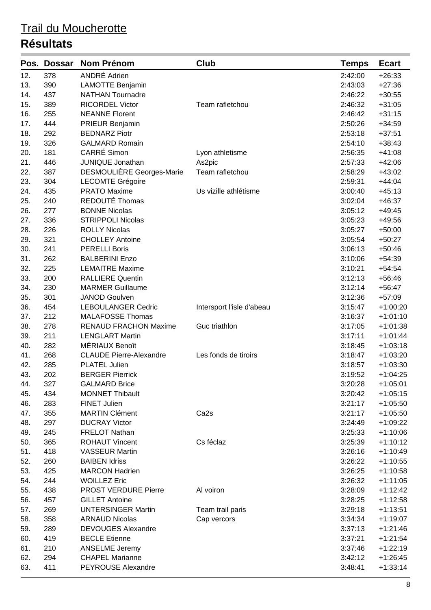| ANDRÉ Adrien<br>12.<br>378<br>2:42:00<br>$+26:33$<br>13.<br>390<br><b>LAMOTTE Benjamin</b><br>2:43:03<br>$+27:36$<br>14.<br>437<br><b>NATHAN Tournadre</b><br>2:46:22<br>$+30:55$<br>389<br><b>RICORDEL Victor</b><br>2:46:32<br>$+31:05$<br>15.<br>Team rafletchou<br><b>NEANNE Florent</b><br>16.<br>255<br>2:46:42<br>$+31:15$<br>444<br>17.<br>PRIEUR Benjamin<br>2:50:26<br>$+34:59$<br>18.<br>292<br><b>BEDNARZ Piotr</b><br>2:53:18<br>$+37:51$<br>326<br><b>GALMARD Romain</b><br>19.<br>2:54:10<br>$+38:43$<br>CARRÉ Simon<br>181<br>20.<br>2:56:35<br>$+41:08$<br>Lyon athletisme<br>21.<br>446<br><b>JUNIQUE Jonathan</b><br>2:57:33<br>$+42:06$<br>As2pic<br>DESMOULIÈRE Georges-Marie<br>22.<br>387<br>Team rafletchou<br>$+43:02$<br>2:58:29<br>23.<br>304<br><b>LECOMTE Grégoire</b><br>2:59:31<br>$+44:04$<br>435<br><b>PRATO Maxime</b><br>24.<br>Us vizille athlétisme<br>3:00:40<br>$+45:13$<br>REDOUTÉ Thomas<br>25.<br>240<br>3:02:04<br>$+46:37$<br><b>BONNE Nicolas</b><br>26.<br>277<br>3:05:12<br>$+49:45$<br>336<br>27.<br><b>STRIPPOLI Nicolas</b><br>3:05:23<br>$+49:56$<br>28.<br>226<br><b>ROLLY Nicolas</b><br>3:05:27<br>$+50:00$<br>321<br><b>CHOLLEY Antoine</b><br>29.<br>3:05:54<br>$+50:27$<br>241<br><b>PERELLI Boris</b><br>30.<br>3:06:13<br>$+50:46$<br>31.<br><b>BALBERINI Enzo</b><br>262<br>3:10:06<br>$+54:39$<br>32.<br>225<br><b>LEMAITRE Maxime</b><br>3:10:21<br>$+54:54$<br>200<br><b>RALLIERE Quentin</b><br>33.<br>3:12:13<br>$+56:46$<br><b>MARMER Guillaume</b><br>34.<br>230<br>3:12:14<br>$+56:47$<br>301<br>35.<br><b>JANOD Goulven</b><br>3:12:36<br>$+57:09$<br>36.<br>454<br><b>LEBOULANGER Cedric</b><br>3:15:47<br>$+1:00:20$<br>Intersport l'isle d'abeau<br>212<br>37.<br><b>MALAFOSSE Thomas</b><br>$+1:01:10$<br>3:16:37<br>38.<br>278<br><b>RENAUD FRACHON Maxime</b><br>Guc triathlon<br>3:17:05<br>$+1:01:38$<br>211<br><b>LENGLART Martin</b><br>39.<br>3:17:11<br>$+1:01:44$<br>40.<br>MÉRIAUX Benoît<br>$+1:03:18$<br>282<br>3:18:45<br>268<br>41.<br><b>CLAUDE Pierre-Alexandre</b><br>Les fonds de tiroirs<br>3:18:47<br>$+1:03:20$<br><b>PLATEL Julien</b><br>42.<br>285<br>3:18:57<br>$+1:03:30$<br>202<br>43.<br><b>BERGER Pierrick</b><br>3:19:52<br>$+1:04:25$<br>44.<br>327<br><b>GALMARD Brice</b><br>3:20:28<br>$+1:05:01$<br><b>MONNET Thibault</b><br>45.<br>434<br>3:20:42<br>$+1:05:15$<br>46.<br>283<br><b>FINET Julien</b><br>3:21:17<br>$+1:05:50$<br>47.<br>355<br><b>MARTIN Clément</b><br>Ca <sub>2s</sub><br>3:21:17<br>$+1:05:50$<br>48.<br>297<br><b>DUCRAY Victor</b><br>3:24:49<br>$+1:09:22$<br>49.<br>245<br><b>FRELOT Nathan</b><br>$+1:10:06$<br>3:25:33<br>365<br>50.<br><b>ROHAUT Vincent</b><br>Cs féclaz<br>$+1:10:12$<br>3:25:39<br>418<br>51.<br><b>VASSEUR Martin</b><br>3:26:16<br>$+1:10:49$<br>52.<br>260<br><b>BAIBEN Idriss</b><br>3:26:22<br>$+1:10:55$<br>53.<br>425<br><b>MARCON Hadrien</b><br>3:26:25<br>$+1:10:58$<br>54.<br>244<br><b>WOILLEZ Eric</b><br>3:26:32<br>$+1:11:05$<br>55.<br>438<br><b>PROST VERDURE Pierre</b><br>Al voiron<br>3:28:09<br>$+1:12:42$<br>56.<br>457<br><b>GILLET Antoine</b><br>3:28:25<br>$+1:12:58$<br>57.<br>269<br><b>UNTERSINGER Martin</b><br>$+1:13:51$<br>Team trail paris<br>3:29:18<br>58.<br>358<br><b>ARNAUD Nicolas</b><br>$+1:19:07$<br>Cap vercors<br>3:34:34<br>59.<br>289<br><b>DEVOUGES Alexandre</b><br>3:37:13<br>$+1:21:46$<br>419<br>60.<br><b>BECLE Etienne</b><br>$+1:21:54$<br>3:37:21<br>61.<br>210<br><b>ANSELME Jeremy</b><br>$+1:22:19$<br>3:37:46<br><b>CHAPEL Marianne</b><br>62.<br>294<br>3:42:12<br>$+1:26:45$<br>63.<br>411<br><b>PEYROUSE Alexandre</b><br>3:48:41<br>$+1:33:14$ | Pos. | <b>Dossar</b> | <b>Nom Prénom</b> | Club | <b>Temps</b> | <b>Ecart</b> |
|---------------------------------------------------------------------------------------------------------------------------------------------------------------------------------------------------------------------------------------------------------------------------------------------------------------------------------------------------------------------------------------------------------------------------------------------------------------------------------------------------------------------------------------------------------------------------------------------------------------------------------------------------------------------------------------------------------------------------------------------------------------------------------------------------------------------------------------------------------------------------------------------------------------------------------------------------------------------------------------------------------------------------------------------------------------------------------------------------------------------------------------------------------------------------------------------------------------------------------------------------------------------------------------------------------------------------------------------------------------------------------------------------------------------------------------------------------------------------------------------------------------------------------------------------------------------------------------------------------------------------------------------------------------------------------------------------------------------------------------------------------------------------------------------------------------------------------------------------------------------------------------------------------------------------------------------------------------------------------------------------------------------------------------------------------------------------------------------------------------------------------------------------------------------------------------------------------------------------------------------------------------------------------------------------------------------------------------------------------------------------------------------------------------------------------------------------------------------------------------------------------------------------------------------------------------------------------------------------------------------------------------------------------------------------------------------------------------------------------------------------------------------------------------------------------------------------------------------------------------------------------------------------------------------------------------------------------------------------------------------------------------------------------------------------------------------------------------------------------------------------------------------------------------------------------------------------------------------------------------------------------------------------------------------------------------------------------------------------------------------------------------------------------------------------------------------------------------------------------------------------------------------------------------------------------------------------------------------------------------------------------------------------------------------------|------|---------------|-------------------|------|--------------|--------------|
|                                                                                                                                                                                                                                                                                                                                                                                                                                                                                                                                                                                                                                                                                                                                                                                                                                                                                                                                                                                                                                                                                                                                                                                                                                                                                                                                                                                                                                                                                                                                                                                                                                                                                                                                                                                                                                                                                                                                                                                                                                                                                                                                                                                                                                                                                                                                                                                                                                                                                                                                                                                                                                                                                                                                                                                                                                                                                                                                                                                                                                                                                                                                                                                                                                                                                                                                                                                                                                                                                                                                                                                                                                                                           |      |               |                   |      |              |              |
|                                                                                                                                                                                                                                                                                                                                                                                                                                                                                                                                                                                                                                                                                                                                                                                                                                                                                                                                                                                                                                                                                                                                                                                                                                                                                                                                                                                                                                                                                                                                                                                                                                                                                                                                                                                                                                                                                                                                                                                                                                                                                                                                                                                                                                                                                                                                                                                                                                                                                                                                                                                                                                                                                                                                                                                                                                                                                                                                                                                                                                                                                                                                                                                                                                                                                                                                                                                                                                                                                                                                                                                                                                                                           |      |               |                   |      |              |              |
|                                                                                                                                                                                                                                                                                                                                                                                                                                                                                                                                                                                                                                                                                                                                                                                                                                                                                                                                                                                                                                                                                                                                                                                                                                                                                                                                                                                                                                                                                                                                                                                                                                                                                                                                                                                                                                                                                                                                                                                                                                                                                                                                                                                                                                                                                                                                                                                                                                                                                                                                                                                                                                                                                                                                                                                                                                                                                                                                                                                                                                                                                                                                                                                                                                                                                                                                                                                                                                                                                                                                                                                                                                                                           |      |               |                   |      |              |              |
|                                                                                                                                                                                                                                                                                                                                                                                                                                                                                                                                                                                                                                                                                                                                                                                                                                                                                                                                                                                                                                                                                                                                                                                                                                                                                                                                                                                                                                                                                                                                                                                                                                                                                                                                                                                                                                                                                                                                                                                                                                                                                                                                                                                                                                                                                                                                                                                                                                                                                                                                                                                                                                                                                                                                                                                                                                                                                                                                                                                                                                                                                                                                                                                                                                                                                                                                                                                                                                                                                                                                                                                                                                                                           |      |               |                   |      |              |              |
|                                                                                                                                                                                                                                                                                                                                                                                                                                                                                                                                                                                                                                                                                                                                                                                                                                                                                                                                                                                                                                                                                                                                                                                                                                                                                                                                                                                                                                                                                                                                                                                                                                                                                                                                                                                                                                                                                                                                                                                                                                                                                                                                                                                                                                                                                                                                                                                                                                                                                                                                                                                                                                                                                                                                                                                                                                                                                                                                                                                                                                                                                                                                                                                                                                                                                                                                                                                                                                                                                                                                                                                                                                                                           |      |               |                   |      |              |              |
|                                                                                                                                                                                                                                                                                                                                                                                                                                                                                                                                                                                                                                                                                                                                                                                                                                                                                                                                                                                                                                                                                                                                                                                                                                                                                                                                                                                                                                                                                                                                                                                                                                                                                                                                                                                                                                                                                                                                                                                                                                                                                                                                                                                                                                                                                                                                                                                                                                                                                                                                                                                                                                                                                                                                                                                                                                                                                                                                                                                                                                                                                                                                                                                                                                                                                                                                                                                                                                                                                                                                                                                                                                                                           |      |               |                   |      |              |              |
|                                                                                                                                                                                                                                                                                                                                                                                                                                                                                                                                                                                                                                                                                                                                                                                                                                                                                                                                                                                                                                                                                                                                                                                                                                                                                                                                                                                                                                                                                                                                                                                                                                                                                                                                                                                                                                                                                                                                                                                                                                                                                                                                                                                                                                                                                                                                                                                                                                                                                                                                                                                                                                                                                                                                                                                                                                                                                                                                                                                                                                                                                                                                                                                                                                                                                                                                                                                                                                                                                                                                                                                                                                                                           |      |               |                   |      |              |              |
|                                                                                                                                                                                                                                                                                                                                                                                                                                                                                                                                                                                                                                                                                                                                                                                                                                                                                                                                                                                                                                                                                                                                                                                                                                                                                                                                                                                                                                                                                                                                                                                                                                                                                                                                                                                                                                                                                                                                                                                                                                                                                                                                                                                                                                                                                                                                                                                                                                                                                                                                                                                                                                                                                                                                                                                                                                                                                                                                                                                                                                                                                                                                                                                                                                                                                                                                                                                                                                                                                                                                                                                                                                                                           |      |               |                   |      |              |              |
|                                                                                                                                                                                                                                                                                                                                                                                                                                                                                                                                                                                                                                                                                                                                                                                                                                                                                                                                                                                                                                                                                                                                                                                                                                                                                                                                                                                                                                                                                                                                                                                                                                                                                                                                                                                                                                                                                                                                                                                                                                                                                                                                                                                                                                                                                                                                                                                                                                                                                                                                                                                                                                                                                                                                                                                                                                                                                                                                                                                                                                                                                                                                                                                                                                                                                                                                                                                                                                                                                                                                                                                                                                                                           |      |               |                   |      |              |              |
|                                                                                                                                                                                                                                                                                                                                                                                                                                                                                                                                                                                                                                                                                                                                                                                                                                                                                                                                                                                                                                                                                                                                                                                                                                                                                                                                                                                                                                                                                                                                                                                                                                                                                                                                                                                                                                                                                                                                                                                                                                                                                                                                                                                                                                                                                                                                                                                                                                                                                                                                                                                                                                                                                                                                                                                                                                                                                                                                                                                                                                                                                                                                                                                                                                                                                                                                                                                                                                                                                                                                                                                                                                                                           |      |               |                   |      |              |              |
|                                                                                                                                                                                                                                                                                                                                                                                                                                                                                                                                                                                                                                                                                                                                                                                                                                                                                                                                                                                                                                                                                                                                                                                                                                                                                                                                                                                                                                                                                                                                                                                                                                                                                                                                                                                                                                                                                                                                                                                                                                                                                                                                                                                                                                                                                                                                                                                                                                                                                                                                                                                                                                                                                                                                                                                                                                                                                                                                                                                                                                                                                                                                                                                                                                                                                                                                                                                                                                                                                                                                                                                                                                                                           |      |               |                   |      |              |              |
|                                                                                                                                                                                                                                                                                                                                                                                                                                                                                                                                                                                                                                                                                                                                                                                                                                                                                                                                                                                                                                                                                                                                                                                                                                                                                                                                                                                                                                                                                                                                                                                                                                                                                                                                                                                                                                                                                                                                                                                                                                                                                                                                                                                                                                                                                                                                                                                                                                                                                                                                                                                                                                                                                                                                                                                                                                                                                                                                                                                                                                                                                                                                                                                                                                                                                                                                                                                                                                                                                                                                                                                                                                                                           |      |               |                   |      |              |              |
|                                                                                                                                                                                                                                                                                                                                                                                                                                                                                                                                                                                                                                                                                                                                                                                                                                                                                                                                                                                                                                                                                                                                                                                                                                                                                                                                                                                                                                                                                                                                                                                                                                                                                                                                                                                                                                                                                                                                                                                                                                                                                                                                                                                                                                                                                                                                                                                                                                                                                                                                                                                                                                                                                                                                                                                                                                                                                                                                                                                                                                                                                                                                                                                                                                                                                                                                                                                                                                                                                                                                                                                                                                                                           |      |               |                   |      |              |              |
|                                                                                                                                                                                                                                                                                                                                                                                                                                                                                                                                                                                                                                                                                                                                                                                                                                                                                                                                                                                                                                                                                                                                                                                                                                                                                                                                                                                                                                                                                                                                                                                                                                                                                                                                                                                                                                                                                                                                                                                                                                                                                                                                                                                                                                                                                                                                                                                                                                                                                                                                                                                                                                                                                                                                                                                                                                                                                                                                                                                                                                                                                                                                                                                                                                                                                                                                                                                                                                                                                                                                                                                                                                                                           |      |               |                   |      |              |              |
|                                                                                                                                                                                                                                                                                                                                                                                                                                                                                                                                                                                                                                                                                                                                                                                                                                                                                                                                                                                                                                                                                                                                                                                                                                                                                                                                                                                                                                                                                                                                                                                                                                                                                                                                                                                                                                                                                                                                                                                                                                                                                                                                                                                                                                                                                                                                                                                                                                                                                                                                                                                                                                                                                                                                                                                                                                                                                                                                                                                                                                                                                                                                                                                                                                                                                                                                                                                                                                                                                                                                                                                                                                                                           |      |               |                   |      |              |              |
|                                                                                                                                                                                                                                                                                                                                                                                                                                                                                                                                                                                                                                                                                                                                                                                                                                                                                                                                                                                                                                                                                                                                                                                                                                                                                                                                                                                                                                                                                                                                                                                                                                                                                                                                                                                                                                                                                                                                                                                                                                                                                                                                                                                                                                                                                                                                                                                                                                                                                                                                                                                                                                                                                                                                                                                                                                                                                                                                                                                                                                                                                                                                                                                                                                                                                                                                                                                                                                                                                                                                                                                                                                                                           |      |               |                   |      |              |              |
|                                                                                                                                                                                                                                                                                                                                                                                                                                                                                                                                                                                                                                                                                                                                                                                                                                                                                                                                                                                                                                                                                                                                                                                                                                                                                                                                                                                                                                                                                                                                                                                                                                                                                                                                                                                                                                                                                                                                                                                                                                                                                                                                                                                                                                                                                                                                                                                                                                                                                                                                                                                                                                                                                                                                                                                                                                                                                                                                                                                                                                                                                                                                                                                                                                                                                                                                                                                                                                                                                                                                                                                                                                                                           |      |               |                   |      |              |              |
|                                                                                                                                                                                                                                                                                                                                                                                                                                                                                                                                                                                                                                                                                                                                                                                                                                                                                                                                                                                                                                                                                                                                                                                                                                                                                                                                                                                                                                                                                                                                                                                                                                                                                                                                                                                                                                                                                                                                                                                                                                                                                                                                                                                                                                                                                                                                                                                                                                                                                                                                                                                                                                                                                                                                                                                                                                                                                                                                                                                                                                                                                                                                                                                                                                                                                                                                                                                                                                                                                                                                                                                                                                                                           |      |               |                   |      |              |              |
|                                                                                                                                                                                                                                                                                                                                                                                                                                                                                                                                                                                                                                                                                                                                                                                                                                                                                                                                                                                                                                                                                                                                                                                                                                                                                                                                                                                                                                                                                                                                                                                                                                                                                                                                                                                                                                                                                                                                                                                                                                                                                                                                                                                                                                                                                                                                                                                                                                                                                                                                                                                                                                                                                                                                                                                                                                                                                                                                                                                                                                                                                                                                                                                                                                                                                                                                                                                                                                                                                                                                                                                                                                                                           |      |               |                   |      |              |              |
|                                                                                                                                                                                                                                                                                                                                                                                                                                                                                                                                                                                                                                                                                                                                                                                                                                                                                                                                                                                                                                                                                                                                                                                                                                                                                                                                                                                                                                                                                                                                                                                                                                                                                                                                                                                                                                                                                                                                                                                                                                                                                                                                                                                                                                                                                                                                                                                                                                                                                                                                                                                                                                                                                                                                                                                                                                                                                                                                                                                                                                                                                                                                                                                                                                                                                                                                                                                                                                                                                                                                                                                                                                                                           |      |               |                   |      |              |              |
|                                                                                                                                                                                                                                                                                                                                                                                                                                                                                                                                                                                                                                                                                                                                                                                                                                                                                                                                                                                                                                                                                                                                                                                                                                                                                                                                                                                                                                                                                                                                                                                                                                                                                                                                                                                                                                                                                                                                                                                                                                                                                                                                                                                                                                                                                                                                                                                                                                                                                                                                                                                                                                                                                                                                                                                                                                                                                                                                                                                                                                                                                                                                                                                                                                                                                                                                                                                                                                                                                                                                                                                                                                                                           |      |               |                   |      |              |              |
|                                                                                                                                                                                                                                                                                                                                                                                                                                                                                                                                                                                                                                                                                                                                                                                                                                                                                                                                                                                                                                                                                                                                                                                                                                                                                                                                                                                                                                                                                                                                                                                                                                                                                                                                                                                                                                                                                                                                                                                                                                                                                                                                                                                                                                                                                                                                                                                                                                                                                                                                                                                                                                                                                                                                                                                                                                                                                                                                                                                                                                                                                                                                                                                                                                                                                                                                                                                                                                                                                                                                                                                                                                                                           |      |               |                   |      |              |              |
|                                                                                                                                                                                                                                                                                                                                                                                                                                                                                                                                                                                                                                                                                                                                                                                                                                                                                                                                                                                                                                                                                                                                                                                                                                                                                                                                                                                                                                                                                                                                                                                                                                                                                                                                                                                                                                                                                                                                                                                                                                                                                                                                                                                                                                                                                                                                                                                                                                                                                                                                                                                                                                                                                                                                                                                                                                                                                                                                                                                                                                                                                                                                                                                                                                                                                                                                                                                                                                                                                                                                                                                                                                                                           |      |               |                   |      |              |              |
|                                                                                                                                                                                                                                                                                                                                                                                                                                                                                                                                                                                                                                                                                                                                                                                                                                                                                                                                                                                                                                                                                                                                                                                                                                                                                                                                                                                                                                                                                                                                                                                                                                                                                                                                                                                                                                                                                                                                                                                                                                                                                                                                                                                                                                                                                                                                                                                                                                                                                                                                                                                                                                                                                                                                                                                                                                                                                                                                                                                                                                                                                                                                                                                                                                                                                                                                                                                                                                                                                                                                                                                                                                                                           |      |               |                   |      |              |              |
|                                                                                                                                                                                                                                                                                                                                                                                                                                                                                                                                                                                                                                                                                                                                                                                                                                                                                                                                                                                                                                                                                                                                                                                                                                                                                                                                                                                                                                                                                                                                                                                                                                                                                                                                                                                                                                                                                                                                                                                                                                                                                                                                                                                                                                                                                                                                                                                                                                                                                                                                                                                                                                                                                                                                                                                                                                                                                                                                                                                                                                                                                                                                                                                                                                                                                                                                                                                                                                                                                                                                                                                                                                                                           |      |               |                   |      |              |              |
|                                                                                                                                                                                                                                                                                                                                                                                                                                                                                                                                                                                                                                                                                                                                                                                                                                                                                                                                                                                                                                                                                                                                                                                                                                                                                                                                                                                                                                                                                                                                                                                                                                                                                                                                                                                                                                                                                                                                                                                                                                                                                                                                                                                                                                                                                                                                                                                                                                                                                                                                                                                                                                                                                                                                                                                                                                                                                                                                                                                                                                                                                                                                                                                                                                                                                                                                                                                                                                                                                                                                                                                                                                                                           |      |               |                   |      |              |              |
|                                                                                                                                                                                                                                                                                                                                                                                                                                                                                                                                                                                                                                                                                                                                                                                                                                                                                                                                                                                                                                                                                                                                                                                                                                                                                                                                                                                                                                                                                                                                                                                                                                                                                                                                                                                                                                                                                                                                                                                                                                                                                                                                                                                                                                                                                                                                                                                                                                                                                                                                                                                                                                                                                                                                                                                                                                                                                                                                                                                                                                                                                                                                                                                                                                                                                                                                                                                                                                                                                                                                                                                                                                                                           |      |               |                   |      |              |              |
|                                                                                                                                                                                                                                                                                                                                                                                                                                                                                                                                                                                                                                                                                                                                                                                                                                                                                                                                                                                                                                                                                                                                                                                                                                                                                                                                                                                                                                                                                                                                                                                                                                                                                                                                                                                                                                                                                                                                                                                                                                                                                                                                                                                                                                                                                                                                                                                                                                                                                                                                                                                                                                                                                                                                                                                                                                                                                                                                                                                                                                                                                                                                                                                                                                                                                                                                                                                                                                                                                                                                                                                                                                                                           |      |               |                   |      |              |              |
|                                                                                                                                                                                                                                                                                                                                                                                                                                                                                                                                                                                                                                                                                                                                                                                                                                                                                                                                                                                                                                                                                                                                                                                                                                                                                                                                                                                                                                                                                                                                                                                                                                                                                                                                                                                                                                                                                                                                                                                                                                                                                                                                                                                                                                                                                                                                                                                                                                                                                                                                                                                                                                                                                                                                                                                                                                                                                                                                                                                                                                                                                                                                                                                                                                                                                                                                                                                                                                                                                                                                                                                                                                                                           |      |               |                   |      |              |              |
|                                                                                                                                                                                                                                                                                                                                                                                                                                                                                                                                                                                                                                                                                                                                                                                                                                                                                                                                                                                                                                                                                                                                                                                                                                                                                                                                                                                                                                                                                                                                                                                                                                                                                                                                                                                                                                                                                                                                                                                                                                                                                                                                                                                                                                                                                                                                                                                                                                                                                                                                                                                                                                                                                                                                                                                                                                                                                                                                                                                                                                                                                                                                                                                                                                                                                                                                                                                                                                                                                                                                                                                                                                                                           |      |               |                   |      |              |              |
|                                                                                                                                                                                                                                                                                                                                                                                                                                                                                                                                                                                                                                                                                                                                                                                                                                                                                                                                                                                                                                                                                                                                                                                                                                                                                                                                                                                                                                                                                                                                                                                                                                                                                                                                                                                                                                                                                                                                                                                                                                                                                                                                                                                                                                                                                                                                                                                                                                                                                                                                                                                                                                                                                                                                                                                                                                                                                                                                                                                                                                                                                                                                                                                                                                                                                                                                                                                                                                                                                                                                                                                                                                                                           |      |               |                   |      |              |              |
|                                                                                                                                                                                                                                                                                                                                                                                                                                                                                                                                                                                                                                                                                                                                                                                                                                                                                                                                                                                                                                                                                                                                                                                                                                                                                                                                                                                                                                                                                                                                                                                                                                                                                                                                                                                                                                                                                                                                                                                                                                                                                                                                                                                                                                                                                                                                                                                                                                                                                                                                                                                                                                                                                                                                                                                                                                                                                                                                                                                                                                                                                                                                                                                                                                                                                                                                                                                                                                                                                                                                                                                                                                                                           |      |               |                   |      |              |              |
|                                                                                                                                                                                                                                                                                                                                                                                                                                                                                                                                                                                                                                                                                                                                                                                                                                                                                                                                                                                                                                                                                                                                                                                                                                                                                                                                                                                                                                                                                                                                                                                                                                                                                                                                                                                                                                                                                                                                                                                                                                                                                                                                                                                                                                                                                                                                                                                                                                                                                                                                                                                                                                                                                                                                                                                                                                                                                                                                                                                                                                                                                                                                                                                                                                                                                                                                                                                                                                                                                                                                                                                                                                                                           |      |               |                   |      |              |              |
|                                                                                                                                                                                                                                                                                                                                                                                                                                                                                                                                                                                                                                                                                                                                                                                                                                                                                                                                                                                                                                                                                                                                                                                                                                                                                                                                                                                                                                                                                                                                                                                                                                                                                                                                                                                                                                                                                                                                                                                                                                                                                                                                                                                                                                                                                                                                                                                                                                                                                                                                                                                                                                                                                                                                                                                                                                                                                                                                                                                                                                                                                                                                                                                                                                                                                                                                                                                                                                                                                                                                                                                                                                                                           |      |               |                   |      |              |              |
|                                                                                                                                                                                                                                                                                                                                                                                                                                                                                                                                                                                                                                                                                                                                                                                                                                                                                                                                                                                                                                                                                                                                                                                                                                                                                                                                                                                                                                                                                                                                                                                                                                                                                                                                                                                                                                                                                                                                                                                                                                                                                                                                                                                                                                                                                                                                                                                                                                                                                                                                                                                                                                                                                                                                                                                                                                                                                                                                                                                                                                                                                                                                                                                                                                                                                                                                                                                                                                                                                                                                                                                                                                                                           |      |               |                   |      |              |              |
|                                                                                                                                                                                                                                                                                                                                                                                                                                                                                                                                                                                                                                                                                                                                                                                                                                                                                                                                                                                                                                                                                                                                                                                                                                                                                                                                                                                                                                                                                                                                                                                                                                                                                                                                                                                                                                                                                                                                                                                                                                                                                                                                                                                                                                                                                                                                                                                                                                                                                                                                                                                                                                                                                                                                                                                                                                                                                                                                                                                                                                                                                                                                                                                                                                                                                                                                                                                                                                                                                                                                                                                                                                                                           |      |               |                   |      |              |              |
|                                                                                                                                                                                                                                                                                                                                                                                                                                                                                                                                                                                                                                                                                                                                                                                                                                                                                                                                                                                                                                                                                                                                                                                                                                                                                                                                                                                                                                                                                                                                                                                                                                                                                                                                                                                                                                                                                                                                                                                                                                                                                                                                                                                                                                                                                                                                                                                                                                                                                                                                                                                                                                                                                                                                                                                                                                                                                                                                                                                                                                                                                                                                                                                                                                                                                                                                                                                                                                                                                                                                                                                                                                                                           |      |               |                   |      |              |              |
|                                                                                                                                                                                                                                                                                                                                                                                                                                                                                                                                                                                                                                                                                                                                                                                                                                                                                                                                                                                                                                                                                                                                                                                                                                                                                                                                                                                                                                                                                                                                                                                                                                                                                                                                                                                                                                                                                                                                                                                                                                                                                                                                                                                                                                                                                                                                                                                                                                                                                                                                                                                                                                                                                                                                                                                                                                                                                                                                                                                                                                                                                                                                                                                                                                                                                                                                                                                                                                                                                                                                                                                                                                                                           |      |               |                   |      |              |              |
|                                                                                                                                                                                                                                                                                                                                                                                                                                                                                                                                                                                                                                                                                                                                                                                                                                                                                                                                                                                                                                                                                                                                                                                                                                                                                                                                                                                                                                                                                                                                                                                                                                                                                                                                                                                                                                                                                                                                                                                                                                                                                                                                                                                                                                                                                                                                                                                                                                                                                                                                                                                                                                                                                                                                                                                                                                                                                                                                                                                                                                                                                                                                                                                                                                                                                                                                                                                                                                                                                                                                                                                                                                                                           |      |               |                   |      |              |              |
|                                                                                                                                                                                                                                                                                                                                                                                                                                                                                                                                                                                                                                                                                                                                                                                                                                                                                                                                                                                                                                                                                                                                                                                                                                                                                                                                                                                                                                                                                                                                                                                                                                                                                                                                                                                                                                                                                                                                                                                                                                                                                                                                                                                                                                                                                                                                                                                                                                                                                                                                                                                                                                                                                                                                                                                                                                                                                                                                                                                                                                                                                                                                                                                                                                                                                                                                                                                                                                                                                                                                                                                                                                                                           |      |               |                   |      |              |              |
|                                                                                                                                                                                                                                                                                                                                                                                                                                                                                                                                                                                                                                                                                                                                                                                                                                                                                                                                                                                                                                                                                                                                                                                                                                                                                                                                                                                                                                                                                                                                                                                                                                                                                                                                                                                                                                                                                                                                                                                                                                                                                                                                                                                                                                                                                                                                                                                                                                                                                                                                                                                                                                                                                                                                                                                                                                                                                                                                                                                                                                                                                                                                                                                                                                                                                                                                                                                                                                                                                                                                                                                                                                                                           |      |               |                   |      |              |              |
|                                                                                                                                                                                                                                                                                                                                                                                                                                                                                                                                                                                                                                                                                                                                                                                                                                                                                                                                                                                                                                                                                                                                                                                                                                                                                                                                                                                                                                                                                                                                                                                                                                                                                                                                                                                                                                                                                                                                                                                                                                                                                                                                                                                                                                                                                                                                                                                                                                                                                                                                                                                                                                                                                                                                                                                                                                                                                                                                                                                                                                                                                                                                                                                                                                                                                                                                                                                                                                                                                                                                                                                                                                                                           |      |               |                   |      |              |              |
|                                                                                                                                                                                                                                                                                                                                                                                                                                                                                                                                                                                                                                                                                                                                                                                                                                                                                                                                                                                                                                                                                                                                                                                                                                                                                                                                                                                                                                                                                                                                                                                                                                                                                                                                                                                                                                                                                                                                                                                                                                                                                                                                                                                                                                                                                                                                                                                                                                                                                                                                                                                                                                                                                                                                                                                                                                                                                                                                                                                                                                                                                                                                                                                                                                                                                                                                                                                                                                                                                                                                                                                                                                                                           |      |               |                   |      |              |              |
|                                                                                                                                                                                                                                                                                                                                                                                                                                                                                                                                                                                                                                                                                                                                                                                                                                                                                                                                                                                                                                                                                                                                                                                                                                                                                                                                                                                                                                                                                                                                                                                                                                                                                                                                                                                                                                                                                                                                                                                                                                                                                                                                                                                                                                                                                                                                                                                                                                                                                                                                                                                                                                                                                                                                                                                                                                                                                                                                                                                                                                                                                                                                                                                                                                                                                                                                                                                                                                                                                                                                                                                                                                                                           |      |               |                   |      |              |              |
|                                                                                                                                                                                                                                                                                                                                                                                                                                                                                                                                                                                                                                                                                                                                                                                                                                                                                                                                                                                                                                                                                                                                                                                                                                                                                                                                                                                                                                                                                                                                                                                                                                                                                                                                                                                                                                                                                                                                                                                                                                                                                                                                                                                                                                                                                                                                                                                                                                                                                                                                                                                                                                                                                                                                                                                                                                                                                                                                                                                                                                                                                                                                                                                                                                                                                                                                                                                                                                                                                                                                                                                                                                                                           |      |               |                   |      |              |              |
|                                                                                                                                                                                                                                                                                                                                                                                                                                                                                                                                                                                                                                                                                                                                                                                                                                                                                                                                                                                                                                                                                                                                                                                                                                                                                                                                                                                                                                                                                                                                                                                                                                                                                                                                                                                                                                                                                                                                                                                                                                                                                                                                                                                                                                                                                                                                                                                                                                                                                                                                                                                                                                                                                                                                                                                                                                                                                                                                                                                                                                                                                                                                                                                                                                                                                                                                                                                                                                                                                                                                                                                                                                                                           |      |               |                   |      |              |              |
|                                                                                                                                                                                                                                                                                                                                                                                                                                                                                                                                                                                                                                                                                                                                                                                                                                                                                                                                                                                                                                                                                                                                                                                                                                                                                                                                                                                                                                                                                                                                                                                                                                                                                                                                                                                                                                                                                                                                                                                                                                                                                                                                                                                                                                                                                                                                                                                                                                                                                                                                                                                                                                                                                                                                                                                                                                                                                                                                                                                                                                                                                                                                                                                                                                                                                                                                                                                                                                                                                                                                                                                                                                                                           |      |               |                   |      |              |              |
|                                                                                                                                                                                                                                                                                                                                                                                                                                                                                                                                                                                                                                                                                                                                                                                                                                                                                                                                                                                                                                                                                                                                                                                                                                                                                                                                                                                                                                                                                                                                                                                                                                                                                                                                                                                                                                                                                                                                                                                                                                                                                                                                                                                                                                                                                                                                                                                                                                                                                                                                                                                                                                                                                                                                                                                                                                                                                                                                                                                                                                                                                                                                                                                                                                                                                                                                                                                                                                                                                                                                                                                                                                                                           |      |               |                   |      |              |              |
|                                                                                                                                                                                                                                                                                                                                                                                                                                                                                                                                                                                                                                                                                                                                                                                                                                                                                                                                                                                                                                                                                                                                                                                                                                                                                                                                                                                                                                                                                                                                                                                                                                                                                                                                                                                                                                                                                                                                                                                                                                                                                                                                                                                                                                                                                                                                                                                                                                                                                                                                                                                                                                                                                                                                                                                                                                                                                                                                                                                                                                                                                                                                                                                                                                                                                                                                                                                                                                                                                                                                                                                                                                                                           |      |               |                   |      |              |              |
|                                                                                                                                                                                                                                                                                                                                                                                                                                                                                                                                                                                                                                                                                                                                                                                                                                                                                                                                                                                                                                                                                                                                                                                                                                                                                                                                                                                                                                                                                                                                                                                                                                                                                                                                                                                                                                                                                                                                                                                                                                                                                                                                                                                                                                                                                                                                                                                                                                                                                                                                                                                                                                                                                                                                                                                                                                                                                                                                                                                                                                                                                                                                                                                                                                                                                                                                                                                                                                                                                                                                                                                                                                                                           |      |               |                   |      |              |              |
|                                                                                                                                                                                                                                                                                                                                                                                                                                                                                                                                                                                                                                                                                                                                                                                                                                                                                                                                                                                                                                                                                                                                                                                                                                                                                                                                                                                                                                                                                                                                                                                                                                                                                                                                                                                                                                                                                                                                                                                                                                                                                                                                                                                                                                                                                                                                                                                                                                                                                                                                                                                                                                                                                                                                                                                                                                                                                                                                                                                                                                                                                                                                                                                                                                                                                                                                                                                                                                                                                                                                                                                                                                                                           |      |               |                   |      |              |              |
|                                                                                                                                                                                                                                                                                                                                                                                                                                                                                                                                                                                                                                                                                                                                                                                                                                                                                                                                                                                                                                                                                                                                                                                                                                                                                                                                                                                                                                                                                                                                                                                                                                                                                                                                                                                                                                                                                                                                                                                                                                                                                                                                                                                                                                                                                                                                                                                                                                                                                                                                                                                                                                                                                                                                                                                                                                                                                                                                                                                                                                                                                                                                                                                                                                                                                                                                                                                                                                                                                                                                                                                                                                                                           |      |               |                   |      |              |              |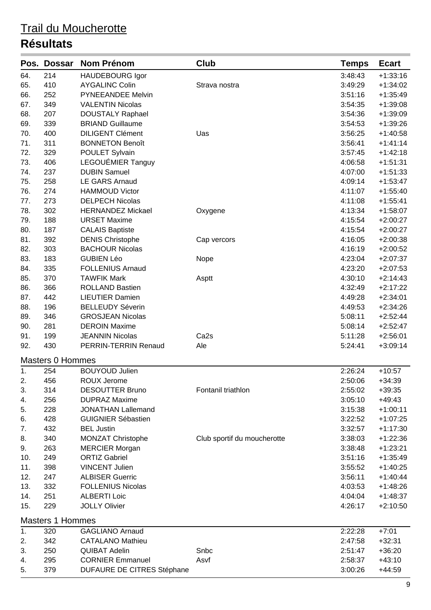|     | Pos. Dossar             | <b>Nom Prénom</b>                 | Club                        | <b>Temps</b> | <b>Ecart</b> |
|-----|-------------------------|-----------------------------------|-----------------------------|--------------|--------------|
| 64. | 214                     | <b>HAUDEBOURG Igor</b>            |                             | 3:48:43      | $+1:33:16$   |
| 65. | 410                     | <b>AYGALINC Colin</b>             | Strava nostra               | 3:49:29      | $+1:34:02$   |
| 66. | 252                     | PYNEEANDEE Melvin                 |                             | 3:51:16      | $+1:35:49$   |
| 67. | 349                     | <b>VALENTIN Nicolas</b>           |                             | 3:54:35      | $+1:39:08$   |
| 68. | 207                     | <b>DOUSTALY Raphael</b>           |                             | 3:54:36      | $+1:39:09$   |
| 69. | 339                     | <b>BRIAND Guillaume</b>           |                             | 3:54:53      | $+1:39:26$   |
| 70. | 400                     | <b>DILIGENT Clément</b>           | Uas                         | 3:56:25      | $+1:40:58$   |
| 71. | 311                     | <b>BONNETON Benoît</b>            |                             | 3:56:41      | $+1:41:14$   |
| 72. | 329                     | POULET Sylvain                    |                             | 3:57:45      | $+1:42:18$   |
| 73. | 406                     | LEGOUÉMIER Tanguy                 |                             | 4:06:58      | $+1:51:31$   |
| 74. | 237                     | <b>DUBIN Samuel</b>               |                             | 4:07:00      | $+1:51:33$   |
| 75. | 258                     | <b>LE GARS Arnaud</b>             |                             | 4:09:14      | $+1:53:47$   |
| 76. | 274                     | <b>HAMMOUD Victor</b>             |                             | 4:11:07      | $+1:55:40$   |
| 77. | 273                     | <b>DELPECH Nicolas</b>            |                             | 4:11:08      | $+1:55:41$   |
| 78. | 302                     | <b>HERNANDEZ Mickael</b>          | Oxygene                     | 4:13:34      | $+1:58:07$   |
| 79. | 188                     | <b>URSET Maxime</b>               |                             | 4:15:54      | $+2:00:27$   |
| 80. | 187                     | <b>CALAIS Baptiste</b>            |                             | 4:15:54      | $+2:00:27$   |
| 81. | 392                     | <b>DENIS Christophe</b>           | Cap vercors                 | 4:16:05      | $+2:00:38$   |
| 82. | 303                     | <b>BACHOUR Nicolas</b>            |                             | 4:16:19      | $+2:00:52$   |
| 83. | 183                     | <b>GUBIEN Léo</b>                 | Nope                        | 4:23:04      | $+2:07:37$   |
| 84. | 335                     | <b>FOLLENIUS Arnaud</b>           |                             | 4:23:20      | $+2:07:53$   |
| 85. | 370                     | <b>TAWFIK Mark</b>                | Asptt                       | 4:30:10      | $+2:14:43$   |
| 86. | 366                     | <b>ROLLAND Bastien</b>            |                             | 4:32:49      | $+2:17:22$   |
| 87. | 442                     | <b>LIEUTIER Damien</b>            |                             | 4:49:28      | $+2:34:01$   |
| 88. | 196                     | <b>BELLEUDY Séverin</b>           |                             | 4:49:53      | $+2:34:26$   |
| 89. | 346                     | <b>GROSJEAN Nicolas</b>           |                             | 5:08:11      | $+2:52:44$   |
| 90. | 281                     | <b>DEROIN Maxime</b>              |                             | 5:08:14      | $+2:52:47$   |
| 91. | 199                     | <b>JEANNIN Nicolas</b>            | Ca <sub>2s</sub>            | 5:11:28      | $+2:56:01$   |
| 92. | 430                     | PERRIN-TERRIN Renaud              | Ale                         | 5:24:41      | $+3:09:14$   |
|     | <b>Masters 0 Hommes</b> |                                   |                             |              |              |
| 1.  | 254                     | <b>BOUYOUD Julien</b>             |                             | 2:26:24      | $+10:57$     |
| 2.  | 456                     | ROUX Jerome                       |                             | 2:50:06      | $+34:39$     |
| 3.  | 314                     | <b>DESOUTTER Bruno</b>            | Fontanil triathlon          | 2:55:02      | $+39:35$     |
| 4.  | 256                     | <b>DUPRAZ Maxime</b>              |                             | 3:05:10      | $+49:43$     |
| 5.  | 228                     | <b>JONATHAN Lallemand</b>         |                             | 3:15:38      | $+1:00:11$   |
| 6.  | 428                     | <b>GUIGNIER Sébastien</b>         |                             | 3:22:52      | $+1:07:25$   |
| 7.  | 432                     | <b>BEL Justin</b>                 |                             | 3:32:57      | $+1:17:30$   |
| 8.  | 340                     | MONZAT Christophe                 | Club sportif du moucherotte | 3:38:03      | $+1:22:36$   |
| 9.  | 263                     | <b>MERCIER Morgan</b>             |                             | 3:38:48      | $+1:23:21$   |
| 10. | 249                     | <b>ORTIZ Gabriel</b>              |                             | 3:51:16      | $+1:35:49$   |
| 11. | 398                     | <b>VINCENT Julien</b>             |                             | 3:55:52      | $+1:40:25$   |
| 12. | 247                     | <b>ALBISER Guerric</b>            |                             | 3:56:11      | $+1:40:44$   |
| 13. | 332                     | <b>FOLLENIUS Nicolas</b>          |                             | 4:03:53      | $+1:48:26$   |
| 14. | 251                     | <b>ALBERTI Loic</b>               |                             | 4:04:04      | $+1:48:37$   |
| 15. | 229                     | <b>JOLLY Olivier</b>              |                             | 4:26:17      | $+2:10:50$   |
|     | <b>Masters 1 Hommes</b> |                                   |                             |              |              |
| 1.  | 320                     | <b>GAGLIANO Arnaud</b>            |                             | 2:22:28      | $+7:01$      |
| 2.  | 342                     | <b>CATALANO Mathieu</b>           |                             | 2:47:58      | $+32:31$     |
| 3.  | 250                     | <b>QUIBAT Adelin</b>              | Snbc                        | 2:51:47      | $+36:20$     |
| 4.  | 295                     | <b>CORNIER Emmanuel</b>           | Asvf                        | 2:58:37      | $+43:10$     |
| 5.  | 379                     | <b>DUFAURE DE CITRES Stéphane</b> |                             | 3:00:26      | $+44:59$     |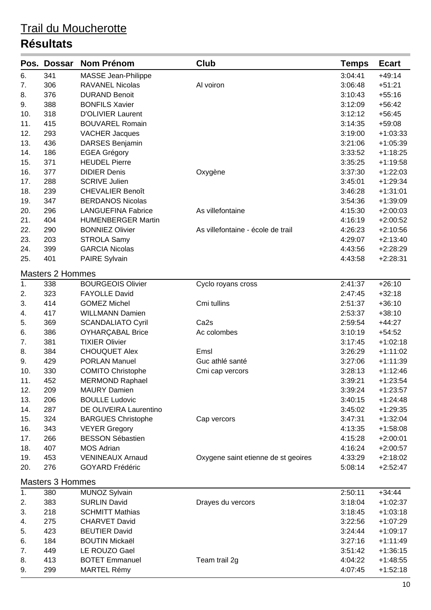|     | Pos. Dossar             | <b>Nom Prénom</b>          | Club                                | <b>Temps</b> | <b>Ecart</b> |
|-----|-------------------------|----------------------------|-------------------------------------|--------------|--------------|
| 6.  | 341                     | <b>MASSE Jean-Philippe</b> |                                     | 3:04:41      | $+49:14$     |
| 7.  | 306                     | <b>RAVANEL Nicolas</b>     | Al voiron                           | 3:06:48      | $+51:21$     |
| 8.  | 376                     | <b>DURAND Benoit</b>       |                                     | 3:10:43      | $+55:16$     |
| 9.  | 388                     | <b>BONFILS Xavier</b>      |                                     | 3:12:09      | $+56:42$     |
| 10. | 318                     | <b>D'OLIVIER Laurent</b>   |                                     | 3:12:12      | $+56:45$     |
| 11. | 415                     | <b>BOUVAREL Romain</b>     |                                     | 3:14:35      | $+59:08$     |
| 12. | 293                     | <b>VACHER Jacques</b>      |                                     | 3:19:00      | $+1:03:33$   |
| 13. | 436                     | DARSES Benjamin            |                                     | 3:21:06      | $+1:05:39$   |
| 14. | 186                     | <b>EGEA Grégory</b>        |                                     | 3:33:52      | $+1:18:25$   |
| 15. | 371                     | <b>HEUDEL Pierre</b>       |                                     | 3:35:25      | $+1:19:58$   |
| 16. | 377                     | <b>DIDIER Denis</b>        | Oxygène                             | 3:37:30      | $+1:22:03$   |
| 17. | 288                     | <b>SCRIVE Julien</b>       |                                     | 3:45:01      | $+1:29:34$   |
| 18. | 239                     | <b>CHEVALIER Benoît</b>    |                                     | 3:46:28      | $+1:31:01$   |
| 19. | 347                     | <b>BERDANOS Nicolas</b>    |                                     | 3:54:36      | $+1:39:09$   |
| 20. | 296                     | <b>LANGUEFINA Fabrice</b>  | As villefontaine                    | 4:15:30      | $+2:00:03$   |
| 21. | 404                     | <b>HUMENBERGER Martin</b>  |                                     | 4:16:19      | $+2:00:52$   |
| 22. | 290                     | <b>BONNIEZ Olivier</b>     | As villefontaine - école de trail   | 4:26:23      | $+2:10:56$   |
| 23. | 203                     | <b>STROLA Samy</b>         |                                     | 4:29:07      | $+2:13:40$   |
| 24. | 399                     | <b>GARCIA Nicolas</b>      |                                     | 4:43:56      | $+2:28:29$   |
| 25. | 401                     | <b>PAIRE Sylvain</b>       |                                     | 4:43:58      | $+2:28:31$   |
|     | <b>Masters 2 Hommes</b> |                            |                                     |              |              |
| 1.  | 338                     | <b>BOURGEOIS Olivier</b>   | Cyclo royans cross                  | 2:41:37      | $+26:10$     |
| 2.  | 323                     | <b>FAYOLLE David</b>       |                                     | 2:47:45      | $+32:18$     |
| 3.  | 414                     | <b>GOMEZ Michel</b>        | Cmi tullins                         | 2:51:37      | $+36:10$     |
| 4.  | 417                     | <b>WILLMANN Damien</b>     |                                     | 2:53:37      | $+38:10$     |
| 5.  | 369                     | <b>SCANDALIATO Cyril</b>   | Ca <sub>2s</sub>                    | 2:59:54      | $+44:27$     |
| 6.  | 386                     | <b>OYHARÇABAL Brice</b>    | Ac colombes                         | 3:10:19      | $+54:52$     |
| 7.  | 381                     | <b>TIXIER Olivier</b>      |                                     | 3:17:45      | $+1:02:18$   |
| 8.  | 384                     | <b>CHOUQUET Alex</b>       | Emsl                                | 3:26:29      | $+1:11:02$   |
| 9.  | 429                     | <b>PORLAN Manuel</b>       | Guc athlé santé                     | 3:27:06      | $+1:11:39$   |
| 10. | 330                     | <b>COMITO Christophe</b>   | Cmi cap vercors                     | 3:28:13      | $+1:12:46$   |
| 11. | 452                     | <b>MERMOND Raphael</b>     |                                     | 3:39:21      | $+1:23:54$   |
| 12. | 209                     | <b>MAURY Damien</b>        |                                     | 3:39:24      | $+1:23:57$   |
| 13. | 206                     | <b>BOULLE Ludovic</b>      |                                     | 3:40:15      | $+1:24:48$   |
| 14. | 287                     | DE OLIVEIRA Laurentino     |                                     | 3:45:02      | $+1:29:35$   |
| 15. | 324                     | <b>BARGUES Christophe</b>  | Cap vercors                         | 3:47:31      | $+1:32:04$   |
| 16. | 343                     | <b>VEYER Gregory</b>       |                                     | 4:13:35      | $+1:58:08$   |
| 17. | 266                     | <b>BESSON Sébastien</b>    |                                     | 4:15:28      | $+2:00:01$   |
| 18. | 407                     | <b>MOS Adrian</b>          |                                     | 4:16:24      | $+2:00:57$   |
| 19. | 453                     | <b>VENINEAUX Arnaud</b>    | Oxygene saint etienne de st geoires | 4:33:29      | $+2:18:02$   |
| 20. | 276                     | <b>GOYARD Frédéric</b>     |                                     | 5:08:14      | $+2:52:47$   |
|     | <b>Masters 3 Hommes</b> |                            |                                     |              |              |
| 1.  | 380                     | <b>MUNOZ Sylvain</b>       |                                     | 2:50:11      | $+34:44$     |
| 2.  | 383                     | <b>SURLIN David</b>        | Drayes du vercors                   | 3:18:04      | $+1:02:37$   |
| 3.  | 218                     | <b>SCHMITT Mathias</b>     |                                     | 3:18:45      | $+1:03:18$   |
| 4.  | 275                     | <b>CHARVET David</b>       |                                     | 3:22:56      | $+1:07:29$   |
| 5.  | 423                     | <b>BEUTIER David</b>       |                                     | 3:24:44      | $+1:09:17$   |
| 6.  | 184                     | <b>BOUTIN Mickaël</b>      |                                     | 3:27:16      | $+1:11:49$   |
| 7.  | 449                     | LE ROUZO Gael              |                                     | 3:51:42      | $+1:36:15$   |
| 8.  | 413                     | <b>BOTET Emmanuel</b>      | Team trail 2g                       | 4:04:22      | $+1:48:55$   |
| 9.  | 299                     | <b>MARTEL Rémy</b>         |                                     | 4:07:45      | $+1:52:18$   |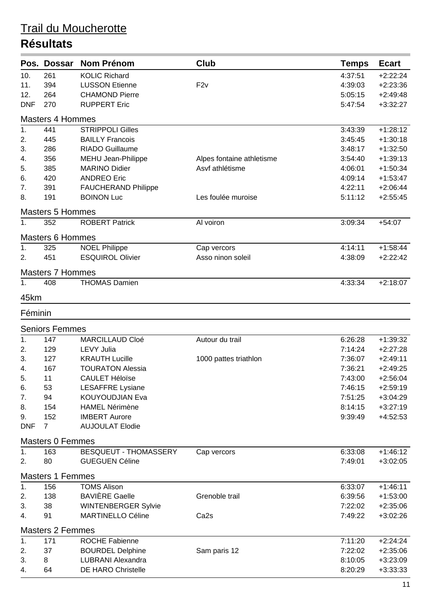|            | Pos. Dossar             | <b>Nom Prénom</b>            | <b>Club</b>               | <b>Temps</b> | <b>Ecart</b> |
|------------|-------------------------|------------------------------|---------------------------|--------------|--------------|
| 10.        | 261                     | <b>KOLIC Richard</b>         |                           | 4:37:51      | $+2:22:24$   |
| 11.        | 394                     | <b>LUSSON Etienne</b>        | F2v                       | 4:39:03      | $+2:23:36$   |
| 12.        | 264                     | <b>CHAMOND Pierre</b>        |                           | 5:05:15      | $+2:49:48$   |
| <b>DNF</b> | 270                     | <b>RUPPERT Eric</b>          |                           | 5:47:54      | $+3:32:27$   |
|            | <b>Masters 4 Hommes</b> |                              |                           |              |              |
| 1.         | 441                     | <b>STRIPPOLI Gilles</b>      |                           | 3:43:39      | $+1:28:12$   |
| 2.         | 445                     | <b>BAILLY Francois</b>       |                           | 3:45:45      | $+1:30:18$   |
| 3.         | 286                     | <b>RIADO Guillaume</b>       |                           | 3:48:17      | $+1:32:50$   |
| 4.         | 356                     | MEHU Jean-Philippe           | Alpes fontaine athletisme | 3:54:40      | $+1:39:13$   |
| 5.         | 385                     | <b>MARINO Didier</b>         | Asvf athlétisme           | 4:06:01      | $+1:50:34$   |
| 6.         | 420                     | <b>ANDREO Eric</b>           |                           | 4:09:14      | $+1:53:47$   |
| 7.         | 391                     | <b>FAUCHERAND Philippe</b>   |                           | 4:22:11      | $+2:06:44$   |
| 8.         | 191                     | <b>BOINON Luc</b>            | Les foulée muroise        | 5:11:12      | $+2:55:45$   |
|            | <b>Masters 5 Hommes</b> |                              |                           |              |              |
| 1.         | 352                     | <b>ROBERT Patrick</b>        | Al voiron                 | 3:09:34      | $+54:07$     |
|            | <b>Masters 6 Hommes</b> |                              |                           |              |              |
| 1.         | 325                     | <b>NOEL Philippe</b>         | Cap vercors               | 4:14:11      | $+1:58:44$   |
| 2.         | 451                     | <b>ESQUIROL Olivier</b>      | Asso ninon soleil         | 4:38:09      | $+2:22:42$   |
|            | <b>Masters 7 Hommes</b> |                              |                           |              |              |
| 1.         | 408                     | <b>THOMAS Damien</b>         |                           | 4:33:34      | $+2:18:07$   |
| 45km       |                         |                              |                           |              |              |
| Féminin    |                         |                              |                           |              |              |
|            | <b>Seniors Femmes</b>   |                              |                           |              |              |
| 1.         | 147                     | <b>MARCILLAUD Cloé</b>       | Autour du trail           | 6:26:28      | $+1:39:32$   |
| 2.         | 129                     | <b>LEVY Julia</b>            |                           | 7:14:24      | $+2:27:28$   |
| 3.         | 127                     | <b>KRAUTH Lucille</b>        | 1000 pattes triathlon     | 7:36:07      | $+2:49:11$   |
| 4.         | 167                     | <b>TOURATON Alessia</b>      |                           | 7:36:21      | $+2:49:25$   |
| 5.         | 11                      | <b>CAULET Héloïse</b>        |                           | 7:43:00      | $+2:56:04$   |
| 6.         | 53                      | <b>LESAFFRE Lysiane</b>      |                           | 7:46:15      | $+2:59:19$   |
| 7.         | 94                      | <b>KOUYOUDJIAN Eva</b>       |                           | 7:51:25      | $+3:04:29$   |
| 8.         | 154                     | <b>HAMEL Nérimène</b>        |                           | 8:14:15      | $+3:27:19$   |
| 9.         | 152                     | <b>IMBERT Aurore</b>         |                           | 9:39:49      | $+4:52:53$   |
| <b>DNF</b> | $\overline{7}$          | <b>AUJOULAT Elodie</b>       |                           |              |              |
|            | <b>Masters 0 Femmes</b> |                              |                           |              |              |
| 1.         | 163                     | <b>BESQUEUT - THOMASSERY</b> | Cap vercors               | 6:33:08      | $+1:46:12$   |
| 2.         | 80                      | <b>GUEGUEN Céline</b>        |                           | 7:49:01      | $+3:02:05$   |
|            | <b>Masters 1 Femmes</b> |                              |                           |              |              |
| 1.         | 156                     | <b>TOMS Alison</b>           |                           | 6:33:07      | $+1:46:11$   |
| 2.         | 138                     | <b>BAVIÈRE Gaelle</b>        | Grenoble trail            | 6:39:56      | $+1:53:00$   |
| 3.         | 38                      | <b>WINTENBERGER Sylvie</b>   |                           | 7:22:02      | $+2:35:06$   |
| 4.         | 91                      | MARTINELLO Céline            | Ca <sub>2s</sub>          | 7:49:22      | $+3:02:26$   |
|            | <b>Masters 2 Femmes</b> |                              |                           |              |              |
| 1.         | 171                     | <b>ROCHE Fabienne</b>        |                           | 7:11:20      | $+2:24:24$   |
| 2.         | 37                      | <b>BOURDEL Delphine</b>      | Sam paris 12              | 7:22:02      | $+2:35:06$   |
| 3.         | 8                       | LUBRANI Alexandra            |                           | 8:10:05      | $+3:23:09$   |
| 4.         | 64                      | <b>DE HARO Christelle</b>    |                           | 8:20:29      | $+3:33:33$   |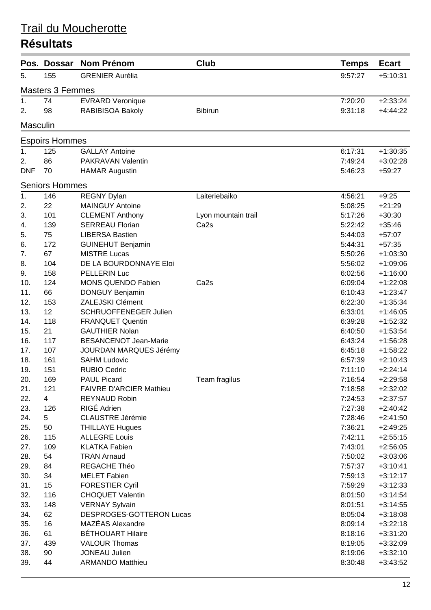|                 | Pos. Dossar             | <b>Nom Prénom</b>              | Club                | <b>Temps</b> | <b>Ecart</b> |
|-----------------|-------------------------|--------------------------------|---------------------|--------------|--------------|
| 5.              | 155                     | <b>GRENIER Aurélia</b>         |                     | 9:57:27      | $+5:10:31$   |
|                 | <b>Masters 3 Femmes</b> |                                |                     |              |              |
| 1.              | 74                      | <b>EVRARD Veronique</b>        |                     | 7:20:20      | $+2:33:24$   |
| 2.              | 98                      | RABIBISOA Bakoly               | <b>Bibirun</b>      | 9:31:18      | $+4:44:22$   |
| <b>Masculin</b> |                         |                                |                     |              |              |
|                 | <b>Espoirs Hommes</b>   |                                |                     |              |              |
| 1.              | 125                     | <b>GALLAY Antoine</b>          |                     | 6:17:31      | $+1:30:35$   |
| 2.              | 86                      | PAKRAVAN Valentin              |                     | 7:49:24      | $+3:02:28$   |
| <b>DNF</b>      | 70                      | <b>HAMAR Augustin</b>          |                     | 5:46:23      | $+59:27$     |
|                 | <b>Seniors Hommes</b>   |                                |                     |              |              |
| 1.              | 146                     | <b>REGNY Dylan</b>             | Laiteriebaiko       | 4:56:21      | $+9:25$      |
| 2.              | 22                      | <b>MAINGUY Antoine</b>         |                     | 5:08:25      | $+21:29$     |
| 3.              | 101                     | <b>CLEMENT Anthony</b>         | Lyon mountain trail | 5:17:26      | $+30:30$     |
| 4.              | 139                     | <b>SERREAU Florian</b>         | Ca <sub>2s</sub>    | 5:22:42      | $+35:46$     |
| 5.              | 75                      | <b>LIBERSA Bastien</b>         |                     | 5:44:03      | $+57:07$     |
| 6.              | 172                     | <b>GUINEHUT Benjamin</b>       |                     | 5:44:31      | $+57:35$     |
| 7.              | 67                      | <b>MISTRE Lucas</b>            |                     | 5:50:26      | $+1:03:30$   |
| 8.              | 104                     | DE LA BOURDONNAYE Eloi         |                     | 5:56:02      | $+1:09:06$   |
| 9.              | 158                     | PELLERIN Luc                   |                     | 6:02:56      | $+1:16:00$   |
| 10.             | 124                     | <b>MONS QUENDO Fabien</b>      | Ca <sub>2s</sub>    | 6:09:04      | $+1:22:08$   |
| 11.             | 66                      | DONGUY Benjamin                |                     | 6:10:43      | $+1:23:47$   |
| 12.             | 153                     | ZALEJSKI Clément               |                     | 6:22:30      | $+1:35:34$   |
| 13.             | 12                      | <b>SCHRUOFFENEGER Julien</b>   |                     | 6:33:01      | $+1:46:05$   |
| 14.             | 118                     | <b>FRANQUET Quentin</b>        |                     | 6:39:28      | $+1:52:32$   |
| 15.             | 21                      | <b>GAUTHIER Nolan</b>          |                     | 6:40:50      | $+1:53:54$   |
| 16.             | 117                     | <b>BESANCENOT Jean-Marie</b>   |                     | 6:43:24      | $+1:56:28$   |
| 17.             | 107                     | <b>JOURDAN MARQUES Jérémy</b>  |                     | 6:45:18      | $+1:58:22$   |
| 18.             | 161                     | <b>SAHM Ludovic</b>            |                     | 6:57:39      | $+2:10:43$   |
| 19.             | 151                     | <b>RUBIO Cedric</b>            |                     | 7:11:10      | $+2:24:14$   |
| 20.             | 169                     | <b>PAUL Picard</b>             | Team fragilus       | 7:16:54      | $+2:29:58$   |
| 21.             | 121                     | <b>FAIVRE D'ARCIER Mathieu</b> |                     | 7:18:58      | $+2:32:02$   |
| 22.             | $\overline{4}$          | <b>REYNAUD Robin</b>           |                     | 7:24:53      | $+2:37:57$   |
| 23.             | 126                     | RIGÉ Adrien                    |                     | 7:27:38      | $+2:40:42$   |
| 24.             | 5                       | <b>CLAUSTRE Jérémie</b>        |                     | 7:28:46      | $+2:41:50$   |
| 25.             | 50                      | <b>THILLAYE Hugues</b>         |                     | 7:36:21      | $+2:49:25$   |
| 26.             | 115                     | <b>ALLEGRE Louis</b>           |                     | 7:42:11      | $+2:55:15$   |
| 27.             | 109                     | <b>KLATKA Fabien</b>           |                     | 7:43:01      | $+2:56:05$   |
| 28.             | 54                      | <b>TRAN Arnaud</b>             |                     | 7:50:02      | $+3:03:06$   |
| 29.             | 84                      | REGACHE Théo                   |                     | 7:57:37      | $+3:10:41$   |
| 30.             | 34                      | <b>MELET Fabien</b>            |                     | 7:59:13      | $+3:12:17$   |
| 31.             | 15                      | <b>FORESTIER Cyril</b>         |                     | 7:59:29      | $+3:12:33$   |
| 32.             | 116                     | <b>CHOQUET Valentin</b>        |                     | 8:01:50      | $+3:14:54$   |
| 33.             | 148                     | <b>VERNAY Sylvain</b>          |                     | 8:01:51      | $+3:14:55$   |
| 34.             | 62                      | DESPROGES-GOTTERON Lucas       |                     | 8:05:04      | $+3:18:08$   |
| 35.             | 16                      | MAZÉAS Alexandre               |                     | 8:09:14      | $+3:22:18$   |
| 36.             | 61                      | <b>BÉTHOUART Hilaire</b>       |                     | 8:18:16      | $+3:31:20$   |
| 37.             | 439                     | <b>VALOUR Thomas</b>           |                     | 8:19:05      | $+3:32:09$   |
| 38.             | 90                      | <b>JONEAU Julien</b>           |                     | 8:19:06      | $+3:32:10$   |
| 39.             | 44                      | <b>ARMANDO Matthieu</b>        |                     | 8:30:48      | $+3:43:52$   |
|                 |                         |                                |                     |              |              |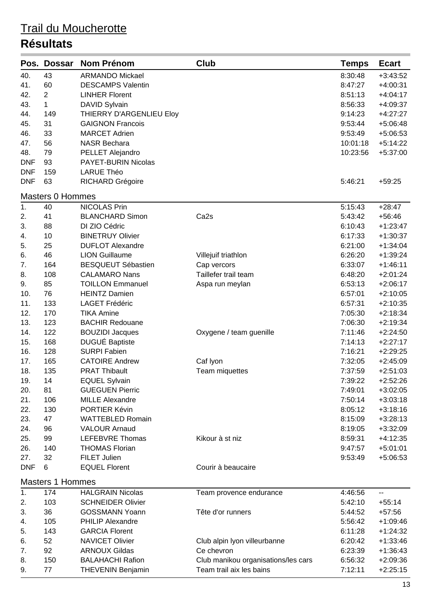|            | Pos. Dossar             | <b>Nom Prénom</b>         | Club                                | <b>Temps</b> | <b>Ecart</b> |
|------------|-------------------------|---------------------------|-------------------------------------|--------------|--------------|
| 40.        | 43                      | <b>ARMANDO Mickael</b>    |                                     | 8:30:48      | $+3:43:52$   |
| 41.        | 60                      | <b>DESCAMPS Valentin</b>  |                                     | 8:47:27      | $+4:00:31$   |
| 42.        | $\overline{2}$          | <b>LINHER Florent</b>     |                                     | 8:51:13      | $+4:04:17$   |
| 43.        | $\mathbf{1}$            | DAVID Sylvain             |                                     | 8:56:33      | $+4:09:37$   |
| 44.        | 149                     | THIERRY D'ARGENLIEU Eloy  |                                     | 9:14:23      | $+4:27:27$   |
| 45.        | 31                      | <b>GAIGNON Francois</b>   |                                     | 9:53:44      | $+5:06:48$   |
| 46.        | 33                      | <b>MARCET Adrien</b>      |                                     | 9:53:49      | $+5:06:53$   |
| 47.        | 56                      | <b>NASR Bechara</b>       |                                     | 10:01:18     | $+5:14:22$   |
| 48.        | 79                      | PELLET Alejandro          |                                     | 10:23:56     | $+5:37:00$   |
| <b>DNF</b> | 93                      | PAYET-BURIN Nicolas       |                                     |              |              |
| <b>DNF</b> | 159                     | <b>LARUE Théo</b>         |                                     |              |              |
| <b>DNF</b> | 63                      | <b>RICHARD Grégoire</b>   |                                     | 5:46:21      | $+59:25$     |
|            | <b>Masters 0 Hommes</b> |                           |                                     |              |              |
| 1.         | 40                      | <b>NICOLAS Prin</b>       |                                     | 5:15:43      | $+28:47$     |
| 2.         | 41                      | <b>BLANCHARD Simon</b>    | Ca <sub>2s</sub>                    | 5:43:42      | $+56:46$     |
| 3.         | 88                      | DI ZIO Cédric             |                                     | 6:10:43      | $+1:23:47$   |
| 4.         | 10                      | <b>BINETRUY Olivier</b>   |                                     | 6:17:33      | $+1:30:37$   |
| 5.         | 25                      | <b>DUFLOT Alexandre</b>   |                                     | 6:21:00      | $+1:34:04$   |
| 6.         | 46                      | <b>LION Guillaume</b>     | Villejuif triathlon                 | 6:26:20      | $+1:39:24$   |
| 7.         | 164                     | <b>BESQUEUT Sébastien</b> | Cap vercors                         | 6:33:07      | $+1:46:11$   |
| 8.         | 108                     | <b>CALAMARO Nans</b>      | Taillefer trail team                | 6:48:20      | $+2:01:24$   |
| 9.         | 85                      | <b>TOILLON Emmanuel</b>   | Aspa run meylan                     | 6:53:13      | $+2:06:17$   |
| 10.        | 76                      | <b>HEINTZ Damien</b>      |                                     | 6:57:01      | $+2:10:05$   |
| 11.        | 133                     | <b>LAGET Frédéric</b>     |                                     | 6:57:31      | $+2:10:35$   |
| 12.        | 170                     | <b>TIKA Amine</b>         |                                     | 7:05:30      | $+2:18:34$   |
| 13.        | 123                     | <b>BACHIR Redouane</b>    |                                     | 7:06:30      | $+2:19:34$   |
| 14.        | 122                     | <b>BOUZIDI Jacques</b>    | Oxygene / team guenille             | 7:11:46      | $+2:24:50$   |
| 15.        | 168                     | <b>DUGUÉ Baptiste</b>     |                                     | 7:14:13      | $+2:27:17$   |
| 16.        | 128                     | <b>SURPI Fabien</b>       |                                     | 7:16:21      | $+2:29:25$   |
| 17.        | 165                     | <b>CATOIRE Andrew</b>     | Caf Iyon                            | 7:32:05      | $+2:45:09$   |
| 18.        | 135                     | <b>PRAT Thibault</b>      | Team miquettes                      | 7:37:59      | $+2:51:03$   |
| 19.        | 14                      | <b>EQUEL Sylvain</b>      |                                     | 7:39:22      | $+2:52:26$   |
| 20.        | 81                      | <b>GUEGUEN Pierric</b>    |                                     | 7:49:01      | $+3:02:05$   |
| 21.        | 106                     | <b>MILLE Alexandre</b>    |                                     | 7:50:14      | $+3:03:18$   |
| 22.        | 130                     | PORTIER Kévin             |                                     | 8:05:12      | $+3:18:16$   |
| 23.        | 47                      | <b>WATTEBLED Romain</b>   |                                     | 8:15:09      | $+3:28:13$   |
| 24.        | 96                      | <b>VALOUR Arnaud</b>      |                                     | 8:19:05      | $+3:32:09$   |
| 25.        | 99                      | LEFEBVRE Thomas           | Kikour à st niz                     | 8:59:31      | $+4:12:35$   |
| 26.        | 140                     | <b>THOMAS Florian</b>     |                                     | 9:47:57      | $+5:01:01$   |
| 27.        | 32                      | <b>FILET Julien</b>       |                                     | 9:53:49      | $+5:06:53$   |
| <b>DNF</b> | 6                       | <b>EQUEL Florent</b>      | Courir à beaucaire                  |              |              |
|            | <b>Masters 1 Hommes</b> |                           |                                     |              |              |
| 1.         | 174                     | <b>HALGRAIN Nicolas</b>   | Team provence endurance             | 4:46:56      | ۰.           |
| 2.         | 103                     | <b>SCHNEIDER Olivier</b>  |                                     | 5:42:10      | $+55:14$     |
| 3.         | 36                      | <b>GOSSMANN Yoann</b>     | Tête d'or runners                   | 5:44:52      | $+57:56$     |
| 4.         | 105                     | <b>PHILIP Alexandre</b>   |                                     | 5:56:42      | $+1:09:46$   |
| 5.         | 143                     | <b>GARCIA Florent</b>     |                                     | 6:11:28      | $+1:24:32$   |
| 6.         | 52                      | NAVICET Olivier           | Club alpin Iyon villeurbanne        | 6:20:42      | $+1:33:46$   |
| 7.         | 92                      | <b>ARNOUX Gildas</b>      | Ce chevron                          | 6:23:39      | $+1:36:43$   |
| 8.         | 150                     | <b>BALAHACHI Rafion</b>   | Club manikou organisations/les cars | 6:56:32      | $+2:09:36$   |
| 9.         | 77                      | <b>THEVENIN Benjamin</b>  | Team trail aix les bains            | 7:12:11      | $+2:25:15$   |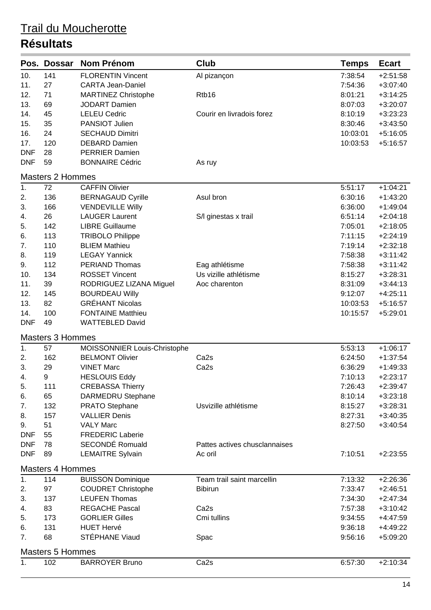|                         | Pos. Dossar             | <b>Nom Prénom</b>            | Club                          | <b>Temps</b> | <b>Ecart</b> |  |  |
|-------------------------|-------------------------|------------------------------|-------------------------------|--------------|--------------|--|--|
| 10.                     | 141                     | <b>FLORENTIN Vincent</b>     | Al pizançon                   | 7:38:54      | $+2:51:58$   |  |  |
| 11.                     | 27                      | <b>CARTA Jean-Daniel</b>     |                               | 7:54:36      | $+3:07:40$   |  |  |
| 12.                     | 71                      | <b>MARTINEZ Christophe</b>   | Rtb16                         | 8:01:21      | $+3:14:25$   |  |  |
| 13.                     | 69                      | <b>JODART Damien</b>         |                               | 8:07:03      | $+3:20:07$   |  |  |
| 14.                     | 45                      | <b>LELEU Cedric</b>          | Courir en livradois forez     | 8:10:19      | $+3:23:23$   |  |  |
| 15.                     | 35                      | PANSIOT Julien               |                               | 8:30:46      | $+3:43:50$   |  |  |
| 16.                     | 24                      | <b>SECHAUD Dimitri</b>       |                               | 10:03:01     | $+5:16:05$   |  |  |
| 17.                     | 120                     | <b>DEBARD Damien</b>         |                               | 10:03:53     | $+5:16:57$   |  |  |
| <b>DNF</b>              | 28                      | <b>PERRIER Damien</b>        |                               |              |              |  |  |
| <b>DNF</b>              | 59                      | <b>BONNAIRE Cédric</b>       | As ruy                        |              |              |  |  |
|                         | <b>Masters 2 Hommes</b> |                              |                               |              |              |  |  |
| 1.                      | 72                      | <b>CAFFIN Olivier</b>        |                               | 5:51:17      | $+1:04:21$   |  |  |
| 2.                      | 136                     | <b>BERNAGAUD Cyrille</b>     | Asul bron                     | 6:30:16      | $+1:43:20$   |  |  |
| 3.                      | 166                     | <b>VENDEVILLE Willy</b>      |                               | 6:36:00      | $+1:49:04$   |  |  |
| 4.                      | 26                      | <b>LAUGER Laurent</b>        | S/I ginestas x trail          | 6:51:14      | $+2:04:18$   |  |  |
| 5.                      | 142                     | <b>LIBRE Guillaume</b>       |                               | 7:05:01      | $+2:18:05$   |  |  |
| 6.                      | 113                     | <b>TRIBOLO Philippe</b>      |                               | 7:11:15      | $+2:24:19$   |  |  |
| 7.                      | 110                     | <b>BLIEM Mathieu</b>         |                               | 7:19:14      | $+2:32:18$   |  |  |
| 8.                      | 119                     | <b>LEGAY Yannick</b>         |                               | 7:58:38      | $+3:11:42$   |  |  |
| 9.                      | 112                     | PERIAND Thomas               | Eag athlétisme                | 7:58:38      | $+3:11:42$   |  |  |
| 10.                     | 134                     | <b>ROSSET Vincent</b>        | Us vizille athlétisme         | 8:15:27      | $+3:28:31$   |  |  |
| 11.                     | 39                      | RODRIGUEZ LIZANA Miguel      | Aoc charenton                 | 8:31:09      | $+3:44:13$   |  |  |
| 12.                     | 145                     | <b>BOURDEAU Willy</b>        |                               | 9:12:07      | $+4:25:11$   |  |  |
| 13.                     | 82                      | <b>GRÉHANT Nicolas</b>       |                               | 10:03:53     | $+5:16:57$   |  |  |
| 14.                     | 100                     | <b>FONTAINE Matthieu</b>     |                               | 10:15:57     | $+5:29:01$   |  |  |
| <b>DNF</b>              | 49                      | <b>WATTEBLED David</b>       |                               |              |              |  |  |
|                         | <b>Masters 3 Hommes</b> |                              |                               |              |              |  |  |
| 1.                      | 57                      | MOISSONNIER Louis-Christophe |                               | 5:53:13      | $+1:06:17$   |  |  |
| 2.                      | 162                     | <b>BELMONT Olivier</b>       | Ca <sub>2s</sub>              | 6:24:50      | $+1:37:54$   |  |  |
| 3.                      | 29                      | <b>VINET Marc</b>            | Ca <sub>2s</sub>              | 6:36:29      | $+1:49:33$   |  |  |
| 4.                      | 9                       | <b>HESLOUIS Eddy</b>         |                               | 7:10:13      | $+2:23:17$   |  |  |
| 5.                      | 111                     | <b>CREBASSA Thierry</b>      |                               | 7:26:43      | $+2:39:47$   |  |  |
| 6.                      | 65                      | DARMEDRU Stephane            |                               | 8:10:14      | $+3:23:18$   |  |  |
| 7.                      | 132                     | <b>PRATO Stephane</b>        | Usvizille athlétisme          | 8:15:27      | $+3:28:31$   |  |  |
| 8.                      | 157                     | <b>VALLIER Denis</b>         |                               | 8:27:31      | $+3:40:35$   |  |  |
| 9.                      | 51                      | <b>VALY Marc</b>             |                               | 8:27:50      | $+3:40:54$   |  |  |
| <b>DNF</b>              | 55                      | <b>FREDERIC Laberie</b>      |                               |              |              |  |  |
| <b>DNF</b>              | 78                      | SECONDÉ Romuald              | Pattes actives chusclannaises |              |              |  |  |
| <b>DNF</b>              | 89                      | <b>LEMAITRE Sylvain</b>      | Ac oril                       | 7:10:51      | $+2:23:55$   |  |  |
|                         | <b>Masters 4 Hommes</b> |                              |                               |              |              |  |  |
| 1.                      | 114                     | <b>BUISSON Dominique</b>     | Team trail saint marcellin    | 7:13:32      | $+2:26:36$   |  |  |
| 2.                      | 97                      | <b>COUDRET Christophe</b>    | <b>Bibirun</b>                | 7:33:47      | $+2:46:51$   |  |  |
| 3.                      | 137                     | <b>LEUFEN Thomas</b>         |                               | 7:34:30      | $+2:47:34$   |  |  |
| 4.                      | 83                      | <b>REGACHE Pascal</b>        | Ca <sub>2s</sub>              | 7:57:38      | $+3:10:42$   |  |  |
| 5.                      | 173                     | <b>GORLIER Gilles</b>        | Cmi tullins                   | 9:34:55      | $+4:47:59$   |  |  |
| 6.                      | 131                     | <b>HUET Hervé</b>            |                               | 9:36:18      | $+4:49:22$   |  |  |
| 7.                      | 68                      | STÉPHANE Viaud               | Spac                          | 9:56:16      | $+5:09:20$   |  |  |
| <b>Masters 5 Hommes</b> |                         |                              |                               |              |              |  |  |
| 1.                      | 102                     | <b>BARROYER Bruno</b>        | Ca <sub>2s</sub>              | 6:57:30      | $+2:10:34$   |  |  |